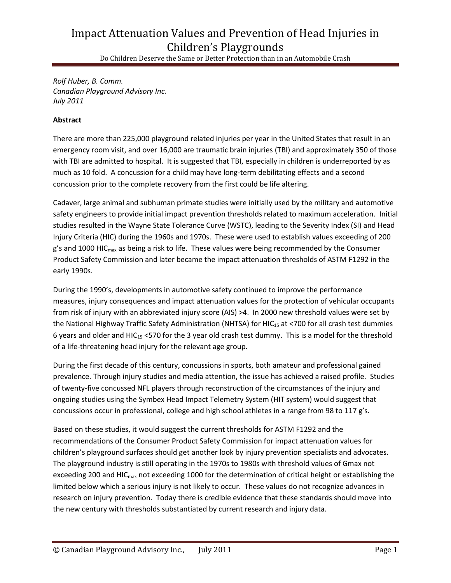# Impact Attenuation Values and Prevention of Head Injuries in Children's Playgrounds

Do Children Deserve the Same or Better Protection than in an Automobile Crash

*Rolf Huber, B. Comm. Canadian Playground Advisory Inc. July 2011*

## **Abstract**

There are more than 225,000 playground related injuries per year in the United States that result in an emergency room visit, and over 16,000 are traumatic brain injuries (TBI) and approximately 350 of those with TBI are admitted to hospital. It is suggested that TBI, especially in children is underreported by as much as 10 fold. A concussion for a child may have long-term debilitating effects and a second concussion prior to the complete recovery from the first could be life altering.

Cadaver, large animal and subhuman primate studies were initially used by the military and automotive safety engineers to provide initial impact prevention thresholds related to maximum acceleration. Initial studies resulted in the Wayne State Tolerance Curve (WSTC), leading to the Severity Index (SI) and Head Injury Criteria (HIC) during the 1960s and 1970s. These were used to establish values exceeding of 200  $g'$ s and 1000 HIC $_{\text{max}}$  as being a risk to life. These values were being recommended by the Consumer Product Safety Commission and later became the impact attenuation thresholds of ASTM F1292 in the early 1990s.

During the 1990's, developments in automotive safety continued to improve the performance measures, injury consequences and impact attenuation values for the protection of vehicular occupants from risk of injury with an abbreviated injury score (AIS) >4. In 2000 new threshold values were set by the National Highway Traffic Safety Administration (NHTSA) for HIC<sub>15</sub> at <700 for all crash test dummies 6 years and older and HIC<sub>15</sub> <570 for the 3 year old crash test dummy. This is a model for the threshold of a life-threatening head injury for the relevant age group.

During the first decade of this century, concussions in sports, both amateur and professional gained prevalence. Through injury studies and media attention, the issue has achieved a raised profile. Studies of twenty-five concussed NFL players through reconstruction of the circumstances of the injury and ongoing studies using the Symbex Head Impact Telemetry System (HIT system) would suggest that concussions occur in professional, college and high school athletes in a range from 98 to 117 g's.

Based on these studies, it would suggest the current thresholds for ASTM F1292 and the recommendations of the Consumer Product Safety Commission for impact attenuation values for children's playground surfaces should get another look by injury prevention specialists and advocates. The playground industry is still operating in the 1970s to 1980s with threshold values of Gmax not exceeding 200 and HIC<sub>max</sub> not exceeding 1000 for the determination of critical height or establishing the limited below which a serious injury is not likely to occur. These values do not recognize advances in research on injury prevention. Today there is credible evidence that these standards should move into the new century with thresholds substantiated by current research and injury data.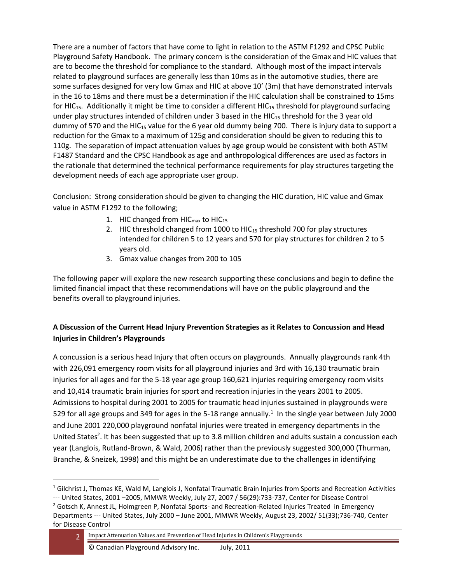There are a number of factors that have come to light in relation to the ASTM F1292 and CPSC Public Playground Safety Handbook. The primary concern is the consideration of the Gmax and HIC values that are to become the threshold for compliance to the standard. Although most of the impact intervals related to playground surfaces are generally less than 10ms as in the automotive studies, there are some surfaces designed for very low Gmax and HIC at above 10' (3m) that have demonstrated intervals in the 16 to 18ms and there must be a determination if the HIC calculation shall be constrained to 15ms for HIC<sub>15</sub>. Additionally it might be time to consider a different HIC<sub>15</sub> threshold for playground surfacing under play structures intended of children under 3 based in the HIC<sub>15</sub> threshold for the 3 year old dummy of 570 and the HIC<sub>15</sub> value for the 6 year old dummy being 700. There is injury data to support a reduction for the Gmax to a maximum of 125g and consideration should be given to reducing this to 110g. The separation of impact attenuation values by age group would be consistent with both ASTM F1487 Standard and the CPSC Handbook as age and anthropological differences are used as factors in the rationale that determined the technical performance requirements for play structures targeting the development needs of each age appropriate user group.

Conclusion: Strong consideration should be given to changing the HIC duration, HIC value and Gmax value in ASTM F1292 to the following;

- 1. HIC changed from  $HIC_{max}$  to  $HIC_{15}$
- 2. HIC threshold changed from 1000 to  $HIC_{15}$  threshold 700 for play structures intended for children 5 to 12 years and 570 for play structures for children 2 to 5 years old.
- 3. Gmax value changes from 200 to 105

The following paper will explore the new research supporting these conclusions and begin to define the limited financial impact that these recommendations will have on the public playground and the benefits overall to playground injuries.

# **A Discussion of the Current Head Injury Prevention Strategies as it Relates to Concussion and Head Injuries in Children's Playgrounds**

A concussion is a serious head Injury that often occurs on playgrounds. Annually playgrounds rank 4th with 226,091 emergency room visits for all playground injuries and 3rd with 16,130 traumatic brain injuries for all ages and for the 5-18 year age group 160,621 injuries requiring emergency room visits and 10,414 traumatic brain injuries for sport and recreation injuries in the years 2001 to 2005. Admissions to hospital during 2001 to 2005 for traumatic head injuries sustained in playgrounds were 529 for all age groups and 349 for ages in the 5-18 range annually.<sup>1</sup> In the single year between July 2000 and June 2001 220,000 playground nonfatal injuries were treated in emergency departments in the United States<sup>2</sup>. It has been suggested that up to 3.8 million children and adults sustain a concussion each year (Langlois, Rutland-Brown, & Wald, 2006) rather than the previously suggested 300,000 (Thurman, Branche, & Sneizek, 1998) and this might be an underestimate due to the challenges in identifying

 $1$  Gilchrist J, Thomas KE, Wald M, Langlois J, Nonfatal Traumatic Brain Injuries from Sports and Recreation Activities

<sup>---</sup> United States, 2001 –2005, MMWR Weekly, July 27, 2007 / 56(29):733-737, Center for Disease Control <sup>2</sup> Gotsch K, Annest JL, Holmgreen P, Nonfatal Sports- and Recreation-Related Injuries Treated in Emergency Departments --- United States, July 2000 – June 2001, MMWR Weekly, August 23, 2002/ 51(33);736-740, Center for Disease Control

<sup>2</sup> Impact Attenuation Values and Prevention of Head Injuries in Children's Playgrounds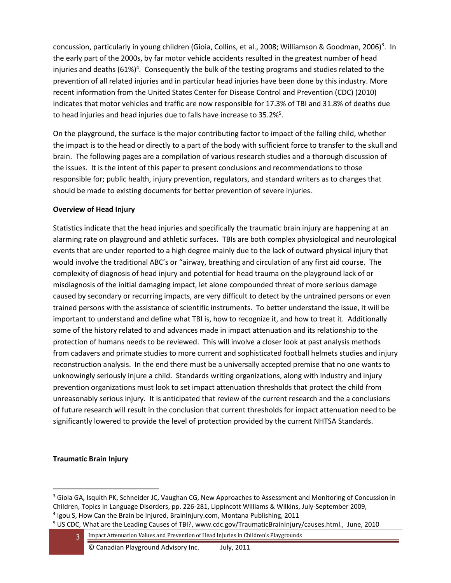concussion, particularly in young children (Gioia, Collins, et al., 2008; Williamson & Goodman, 2006)<sup>3</sup>. In the early part of the 2000s, by far motor vehicle accidents resulted in the greatest number of head injuries and deaths (61%)<sup>4</sup>. Consequently the bulk of the testing programs and studies related to the prevention of all related injuries and in particular head injuries have been done by this industry. More recent information from the United States Center for Disease Control and Prevention (CDC) (2010) indicates that motor vehicles and traffic are now responsible for 17.3% of TBI and 31.8% of deaths due to head injuries and head injuries due to falls have increase to  $35.2\%$ <sup>5</sup>.

On the playground, the surface is the major contributing factor to impact of the falling child, whether the impact is to the head or directly to a part of the body with sufficient force to transfer to the skull and brain. The following pages are a compilation of various research studies and a thorough discussion of the issues. It is the intent of this paper to present conclusions and recommendations to those responsible for; public health, injury prevention, regulators, and standard writers as to changes that should be made to existing documents for better prevention of severe injuries.

#### **Overview of Head Injury**

Statistics indicate that the head injuries and specifically the traumatic brain injury are happening at an alarming rate on playground and athletic surfaces. TBIs are both complex physiological and neurological events that are under reported to a high degree mainly due to the lack of outward physical injury that would involve the traditional ABC's or "airway, breathing and circulation of any first aid course. The complexity of diagnosis of head injury and potential for head trauma on the playground lack of or misdiagnosis of the initial damaging impact, let alone compounded threat of more serious damage caused by secondary or recurring impacts, are very difficult to detect by the untrained persons or even trained persons with the assistance of scientific instruments. To better understand the issue, it will be important to understand and define what TBI is, how to recognize it, and how to treat it. Additionally some of the history related to and advances made in impact attenuation and its relationship to the protection of humans needs to be reviewed. This will involve a closer look at past analysis methods from cadavers and primate studies to more current and sophisticated football helmets studies and injury reconstruction analysis. In the end there must be a universally accepted premise that no one wants to unknowingly seriously injure a child. Standards writing organizations, along with industry and injury prevention organizations must look to set impact attenuation thresholds that protect the child from unreasonably serious injury. It is anticipated that review of the current research and the a conclusions of future research will result in the conclusion that current thresholds for impact attenuation need to be significantly lowered to provide the level of protection provided by the current NHTSA Standards.

#### **Traumatic Brain Injury**

<sup>4</sup> Igou S, How Can the Brain be Injured, BrainInjury.com, Montana Publishing, 2011

<sup>&</sup>lt;sup>3</sup> Gioia GA, Isquith PK, Schneider JC, Vaughan CG, New Approaches to Assessment and Monitoring of Concussion in Children, Topics in Language Disorders, pp. 226-281, Lippincott Williams & Wilkins, July-September 2009,

<sup>&</sup>lt;sup>5</sup> US CDC, What are the Leading Causes of TBI?, [www.cdc.gov/TraumaticBrainInjury/causes.html.](http://www.cdc.gov/TraumaticBrainInjury/causes.html), June, 2010

<sup>3</sup> Impact Attenuation Values and Prevention of Head Injuries in Children's Playgrounds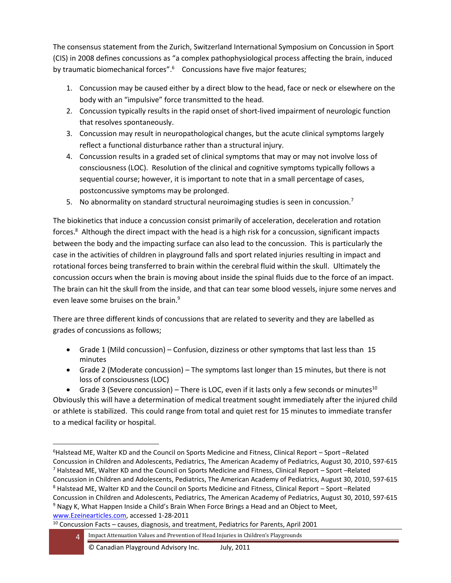The consensus statement from the Zurich, Switzerland International Symposium on Concussion in Sport (CIS) in 2008 defines concussions as "a complex pathophysiological process affecting the brain, induced by traumatic biomechanical forces".<sup>6</sup> Concussions have five major features;

- 1. Concussion may be caused either by a direct blow to the head, face or neck or elsewhere on the body with an "impulsive" force transmitted to the head.
- 2. Concussion typically results in the rapid onset of short-lived impairment of neurologic function that resolves spontaneously.
- 3. Concussion may result in neuropathological changes, but the acute clinical symptoms largely reflect a functional disturbance rather than a structural injury.
- 4. Concussion results in a graded set of clinical symptoms that may or may not involve loss of consciousness (LOC). Resolution of the clinical and cognitive symptoms typically follows a sequential course; however, it is important to note that in a small percentage of cases, postconcussive symptoms may be prolonged.
- 5. No abnormality on standard structural neuroimaging studies is seen in concussion.<sup>7</sup>

The biokinetics that induce a concussion consist primarily of acceleration, deceleration and rotation forces.<sup>8</sup> Although the direct impact with the head is a high risk for a concussion, significant impacts between the body and the impacting surface can also lead to the concussion. This is particularly the case in the activities of children in playground falls and sport related injuries resulting in impact and rotational forces being transferred to brain within the cerebral fluid within the skull. Ultimately the concussion occurs when the brain is moving about inside the spinal fluids due to the force of an impact. The brain can hit the skull from the inside, and that can tear some blood vessels, injure some nerves and even leave some bruises on the brain.<sup>9</sup>

There are three different kinds of concussions that are related to severity and they are labelled as grades of concussions as follows;

- Grade 1 (Mild concussion) Confusion, dizziness or other symptoms that last less than 15 minutes
- Grade 2 (Moderate concussion) The symptoms last longer than 15 minutes, but there is not loss of consciousness (LOC)

• Grade 3 (Severe concussion) – There is LOC, even if it lasts only a few seconds or minutes<sup>10</sup> Obviously this will have a determination of medical treatment sought immediately after the injured child or athlete is stabilized. This could range from total and quiet rest for 15 minutes to immediate transfer to a medical facility or hospital.

[www.Ezeinearticles.com,](http://www.ezeinearticles.com/) accessed 1-28-2011

<sup>6</sup>Halstead ME, Walter KD and the Council on Sports Medicine and Fitness, Clinical Report – Sport –Related Concussion in Children and Adolescents, Pediatrics, The American Academy of Pediatrics, August 30, 2010, 597-615  $7$  Halstead ME, Walter KD and the Council on Sports Medicine and Fitness, Clinical Report – Sport –Related Concussion in Children and Adolescents, Pediatrics, The American Academy of Pediatrics, August 30, 2010, 597-615 <sup>8</sup> Halstead ME, Walter KD and the Council on Sports Medicine and Fitness, Clinical Report – Sport –Related Concussion in Children and Adolescents, Pediatrics, The American Academy of Pediatrics, August 30, 2010, 597-615 <sup>9</sup> Nagy K, What Happen Inside a Child's Brain When Force Brings a Head and an Object to Meet,

<sup>&</sup>lt;sup>10</sup> Concussion Facts – causes, diagnosis, and treatment, Pediatrics for Parents, April 2001

<sup>4</sup> Impact Attenuation Values and Prevention of Head Injuries in Children's Playgrounds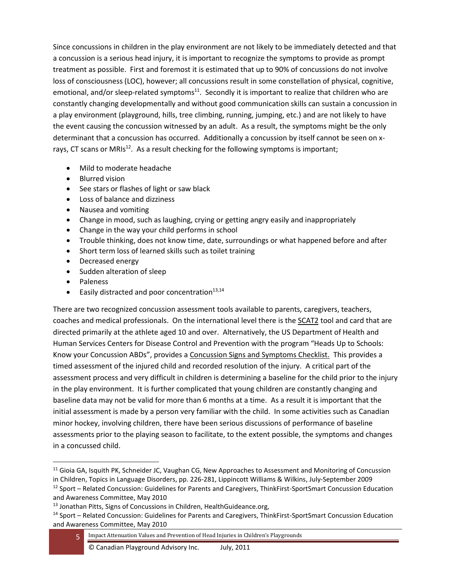Since concussions in children in the play environment are not likely to be immediately detected and that a concussion is a serious head injury, it is important to recognize the symptoms to provide as prompt treatment as possible. First and foremost it is estimated that up to 90% of concussions do not involve loss of consciousness (LOC), however; all concussions result in some constellation of physical, cognitive, emotional, and/or sleep-related symptoms<sup>11</sup>. Secondly it is important to realize that children who are constantly changing developmentally and without good communication skills can sustain a concussion in a play environment (playground, hills, tree climbing, running, jumping, etc.) and are not likely to have the event causing the concussion witnessed by an adult. As a result, the symptoms might be the only determinant that a concussion has occurred. Additionally a concussion by itself cannot be seen on xrays, CT scans or MRIs<sup>12</sup>. As a result checking for the following symptoms is important;

- Mild to moderate headache
- Blurred vision
- See stars or flashes of light or saw black
- Loss of balance and dizziness
- Nausea and vomiting
- Change in mood, such as laughing, crying or getting angry easily and inappropriately
- Change in the way your child performs in school
- Trouble thinking, does not know time, date, surroundings or what happened before and after
- Short term loss of learned skills such as toilet training
- Decreased energy
- Sudden alteration of sleep
- Paleness
- Easily distracted and poor concentration $13,14$

There are two recognized concussion assessment tools available to parents, caregivers, teachers, coaches and medical professionals. On the international level there is the SCAT2 tool and card that are directed primarily at the athlete aged 10 and over. Alternatively, the US Department of Health and Human Services Centers for Disease Control and Prevention with the program "Heads Up to Schools: Know your Concussion ABDs", provides a Concussion Signs and Symptoms Checklist. This provides a timed assessment of the injured child and recorded resolution of the injury. A critical part of the assessment process and very difficult in children is determining a baseline for the child prior to the injury in the play environment. It is further complicated that young children are constantly changing and baseline data may not be valid for more than 6 months at a time. As a result it is important that the initial assessment is made by a person very familiar with the child. In some activities such as Canadian minor hockey, involving children, there have been serious discussions of performance of baseline assessments prior to the playing season to facilitate, to the extent possible, the symptoms and changes in a concussed child.

<sup>&</sup>lt;sup>11</sup> Gioia GA, Isquith PK, Schneider JC, Vaughan CG, New Approaches to Assessment and Monitoring of Concussion in Children, Topics in Language Disorders, pp. 226-281, Lippincott Williams & Wilkins, July-September 2009

<sup>&</sup>lt;sup>12</sup> Sport – Related Concussion: Guidelines for Parents and Caregivers, ThinkFirst-SportSmart Concussion Education and Awareness Committee, May 2010

<sup>13</sup> Jonathan Pitts, Signs of Concussions in Children, HealthGuideance.org,

<sup>14</sup> Sport – Related Concussion: Guidelines for Parents and Caregivers, ThinkFirst-SportSmart Concussion Education and Awareness Committee, May 2010

<sup>5</sup> Impact Attenuation Values and Prevention of Head Injuries in Children's Playgrounds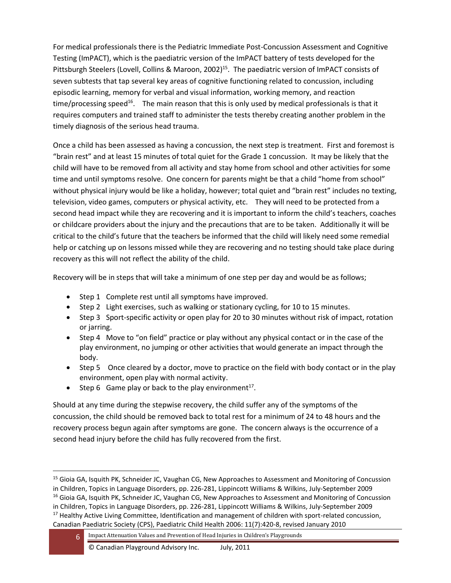For medical professionals there is the Pediatric Immediate Post-Concussion Assessment and Cognitive Testing (ImPACT), which is the paediatric version of the ImPACT battery of tests developed for the Pittsburgh Steelers (Lovell, Collins & Maroon, 2002)<sup>15</sup>. The paediatric version of ImPACT consists of seven subtests that tap several key areas of cognitive functioning related to concussion, including episodic learning, memory for verbal and visual information, working memory, and reaction time/processing speed<sup>16</sup>. The main reason that this is only used by medical professionals is that it requires computers and trained staff to administer the tests thereby creating another problem in the timely diagnosis of the serious head trauma.

Once a child has been assessed as having a concussion, the next step is treatment. First and foremost is "brain rest" and at least 15 minutes of total quiet for the Grade 1 concussion. It may be likely that the child will have to be removed from all activity and stay home from school and other activities for some time and until symptoms resolve. One concern for parents might be that a child "home from school" without physical injury would be like a holiday, however; total quiet and "brain rest" includes no texting, television, video games, computers or physical activity, etc. They will need to be protected from a second head impact while they are recovering and it is important to inform the child's teachers, coaches or childcare providers about the injury and the precautions that are to be taken. Additionally it will be critical to the child's future that the teachers be informed that the child will likely need some remedial help or catching up on lessons missed while they are recovering and no testing should take place during recovery as this will not reflect the ability of the child.

Recovery will be in steps that will take a minimum of one step per day and would be as follows;

- Step 1 Complete rest until all symptoms have improved.
- Step 2 Light exercises, such as walking or stationary cycling, for 10 to 15 minutes.
- Step 3 Sport-specific activity or open play for 20 to 30 minutes without risk of impact, rotation or jarring.
- Step 4 Move to "on field" practice or play without any physical contact or in the case of the play environment, no jumping or other activities that would generate an impact through the body.
- Step 5 Once cleared by a doctor, move to practice on the field with body contact or in the play environment, open play with normal activity.
- Step 6 Game play or back to the play environment<sup>17</sup>.

Should at any time during the stepwise recovery, the child suffer any of the symptoms of the concussion, the child should be removed back to total rest for a minimum of 24 to 48 hours and the recovery process begun again after symptoms are gone. The concern always is the occurrence of a second head injury before the child has fully recovered from the first.

<sup>&</sup>lt;sup>15</sup> Gioia GA, Isquith PK, Schneider JC, Vaughan CG, New Approaches to Assessment and Monitoring of Concussion in Children, Topics in Language Disorders, pp. 226-281, Lippincott Williams & Wilkins, July-September 2009

<sup>&</sup>lt;sup>16</sup> Gioia GA, Isquith PK, Schneider JC, Vaughan CG, New Approaches to Assessment and Monitoring of Concussion

in Children, Topics in Language Disorders, pp. 226-281, Lippincott Williams & Wilkins, July-September 2009

<sup>&</sup>lt;sup>17</sup> Healthy Active Living Committee, Identification and management of children with sport-related concussion, Canadian Paediatric Society (CPS), Paediatric Child Health 2006: 11(7):420-8, revised January 2010

<sup>6</sup> Impact Attenuation Values and Prevention of Head Injuries in Children's Playgrounds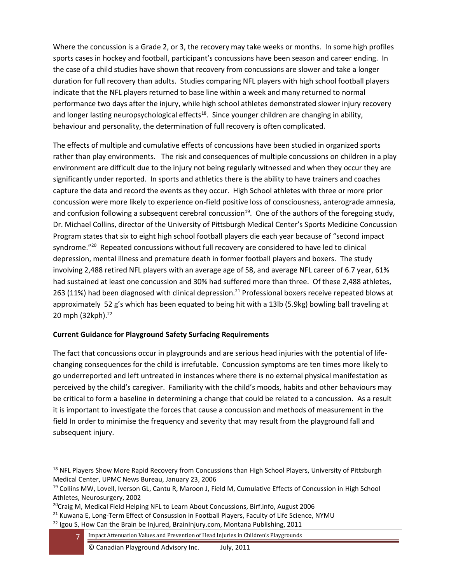Where the concussion is a Grade 2, or 3, the recovery may take weeks or months. In some high profiles sports cases in hockey and football, participant's concussions have been season and career ending. In the case of a child studies have shown that recovery from concussions are slower and take a longer duration for full recovery than adults. Studies comparing NFL players with high school football players indicate that the NFL players returned to base line within a week and many returned to normal performance two days after the injury, while high school athletes demonstrated slower injury recovery and longer lasting neuropsychological effects<sup>18</sup>. Since younger children are changing in ability, behaviour and personality, the determination of full recovery is often complicated.

The effects of multiple and cumulative effects of concussions have been studied in organized sports rather than play environments. The risk and consequences of multiple concussions on children in a play environment are difficult due to the injury not being regularly witnessed and when they occur they are significantly under reported. In sports and athletics there is the ability to have trainers and coaches capture the data and record the events as they occur. High School athletes with three or more prior concussion were more likely to experience on-field positive loss of consciousness, anterograde amnesia, and confusion following a subsequent cerebral concussion<sup>19</sup>. One of the authors of the foregoing study, Dr. Michael Collins, director of the University of Pittsburgh Medical Center's Sports Medicine Concussion Program states that six to eight high school football players die each year because of "second impact syndrome."<sup>20</sup> Repeated concussions without full recovery are considered to have led to clinical depression, mental illness and premature death in former football players and boxers. The study involving 2,488 retired NFL players with an average age of 58, and average NFL career of 6.7 year, 61% had sustained at least one concussion and 30% had suffered more than three. Of these 2,488 athletes, 263 (11%) had been diagnosed with clinical depression.<sup>21</sup> Professional boxers receive repeated blows at approximately 52 g's which has been equated to being hit with a 13lb (5.9kg) bowling ball traveling at 20 mph (32kph). 22

## **Current Guidance for Playground Safety Surfacing Requirements**

The fact that concussions occur in playgrounds and are serious head injuries with the potential of lifechanging consequences for the child is irrefutable. Concussion symptoms are ten times more likely to go underreported and left untreated in instances where there is no external physical manifestation as perceived by the child's caregiver. Familiarity with the child's moods, habits and other behaviours may be critical to form a baseline in determining a change that could be related to a concussion. As a result it is important to investigate the forces that cause a concussion and methods of measurement in the field In order to minimise the frequency and severity that may result from the playground fall and subsequent injury.

<sup>&</sup>lt;sup>18</sup> NFL Players Show More Rapid Recovery from Concussions than High School Players, University of Pittsburgh Medical Center, UPMC News Bureau, January 23, 2006

<sup>&</sup>lt;sup>19</sup> Collins MW, Lovell, Iverson GL, Cantu R, Maroon J, Field M, Cumulative Effects of Concussion in High School Athletes, Neurosurgery, 2002

<sup>&</sup>lt;sup>20</sup>Craig M, Medical Field Helping NFL to Learn About Concussions, Birf.info, August 2006

<sup>&</sup>lt;sup>21</sup> Kuwana E, Long-Term Effect of Consussion in Football Players, Faculty of Life Science, NYMU  $22$  Igou S, How Can the Brain be Injured, BrainInjury.com, Montana Publishing, 2011

<sup>7</sup> Impact Attenuation Values and Prevention of Head Injuries in Children's Playgrounds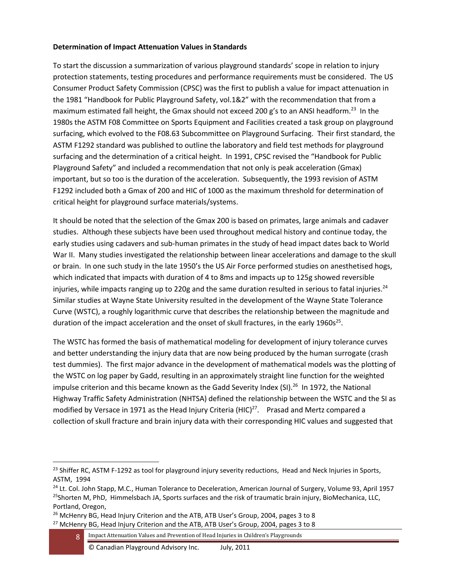#### **Determination of Impact Attenuation Values in Standards**

To start the discussion a summarization of various playground standards' scope in relation to injury protection statements, testing procedures and performance requirements must be considered. The US Consumer Product Safety Commission (CPSC) was the first to publish a value for impact attenuation in the 1981 "Handbook for Public Playground Safety, vol.1&2" with the recommendation that from a maximum estimated fall height, the Gmax should not exceed 200 g's to an ANSI headform.<sup>23</sup> In the 1980s the ASTM F08 Committee on Sports Equipment and Facilities created a task group on playground surfacing, which evolved to the F08.63 Subcommittee on Playground Surfacing. Their first standard, the ASTM F1292 standard was published to outline the laboratory and field test methods for playground surfacing and the determination of a critical height. In 1991, CPSC revised the "Handbook for Public Playground Safety" and included a recommendation that not only is peak acceleration (Gmax) important, but so too is the duration of the acceleration. Subsequently, the 1993 revision of ASTM F1292 included both a Gmax of 200 and HIC of 1000 as the maximum threshold for determination of critical height for playground surface materials/systems.

It should be noted that the selection of the Gmax 200 is based on primates, large animals and cadaver studies. Although these subjects have been used throughout medical history and continue today, the early studies using cadavers and sub-human primates in the study of head impact dates back to World War II. Many studies investigated the relationship between linear accelerations and damage to the skull or brain. In one such study in the late 1950's the US Air Force performed studies on anesthetised hogs, which indicated that impacts with duration of 4 to 8ms and impacts up to 125g showed reversible injuries, while impacts ranging up to 220g and the same duration resulted in serious to fatal injuries.<sup>24</sup> Similar studies at Wayne State University resulted in the development of the Wayne State Tolerance Curve (WSTC), a roughly logarithmic curve that describes the relationship between the magnitude and duration of the impact acceleration and the onset of skull fractures, in the early 1960s<sup>25</sup>.

The WSTC has formed the basis of mathematical modeling for development of injury tolerance curves and better understanding the injury data that are now being produced by the human surrogate (crash test dummies). The first major advance in the development of mathematical models was the plotting of the WSTC on log paper by Gadd, resulting in an approximately straight line function for the weighted impulse criterion and this became known as the Gadd Severity Index (SI).<sup>26</sup> In 1972, the National Highway Traffic Safety Administration (NHTSA) defined the relationship between the WSTC and the SI as modified by Versace in 1971 as the Head Injury Criteria (HIC) $^{27}$ . Prasad and Mertz compared a collection of skull fracture and brain injury data with their corresponding HIC values and suggested that

<sup>&</sup>lt;sup>23</sup> Shiffer RC, ASTM F-1292 as tool for playground injury severity reductions, Head and Neck Injuries in Sports, ASTM, 1994

<sup>&</sup>lt;sup>24</sup> Lt. Col. John Stapp, M.C., Human Tolerance to Deceleration, American Journal of Surgery, Volume 93, April 1957 <sup>25</sup>Shorten M, PhD, Himmelsbach JA, Sports surfaces and the risk of traumatic brain injury, BioMechanica, LLC, Portland, Oregon,

 $26$  McHenry BG, Head Injury Criterion and the ATB, ATB User's Group, 2004, pages 3 to 8  $27$  McHenry BG, Head Injury Criterion and the ATB, ATB User's Group, 2004, pages 3 to 8

<sup>8</sup> Impact Attenuation Values and Prevention of Head Injuries in Children's Playgrounds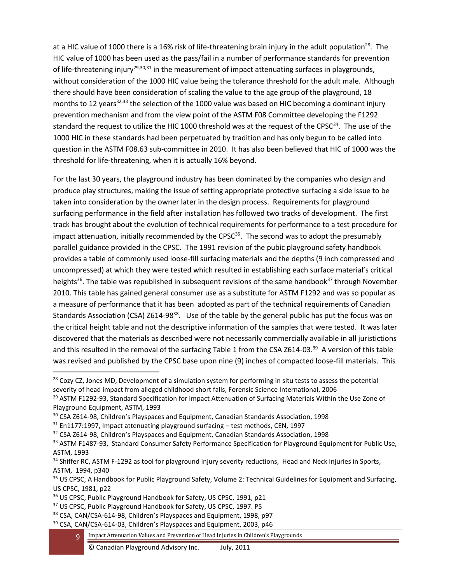at a HIC value of 1000 there is a 16% risk of life-threatening brain injury in the adult population<sup>28</sup>. The HIC value of 1000 has been used as the pass/fail in a number of performance standards for prevention of life-threatening injury<sup>29,30,31</sup> in the measurement of impact attenuating surfaces in playgrounds, without consideration of the 1000 HIC value being the tolerance threshold for the adult male. Although there should have been consideration of scaling the value to the age group of the playground, 18 months to 12 years<sup>32,33</sup> the selection of the 1000 value was based on HIC becoming a dominant injury prevention mechanism and from the view point of the ASTM F08 Committee developing the F1292 standard the request to utilize the HIC 1000 threshold was at the request of the CPSC<sup>34</sup>. The use of the 1000 HIC in these standards had been perpetuated by tradition and has only begun to be called into question in the ASTM F08.63 sub-committee in 2010. It has also been believed that HIC of 1000 was the threshold for life-threatening, when it is actually 16% beyond.

For the last 30 years, the playground industry has been dominated by the companies who design and produce play structures, making the issue of setting appropriate protective surfacing a side issue to be taken into consideration by the owner later in the design process. Requirements for playground surfacing performance in the field after installation has followed two tracks of development. The first track has brought about the evolution of technical requirements for performance to a test procedure for impact attenuation, initially recommended by the CPS $C^{35}$ . The second was to adopt the presumably parallel guidance provided in the CPSC. The 1991 revision of the pubic playground safety handbook provides a table of commonly used loose-fill surfacing materials and the depths (9 inch compressed and uncompressed) at which they were tested which resulted in establishing each surface material's critical heights<sup>36</sup>. The table was republished in subsequent revisions of the same handbook<sup>37</sup> through November 2010. This table has gained general consumer use as a substitute for ASTM F1292 and was so popular as a measure of performance that it has been adopted as part of the technical requirements of Canadian Standards Association (CSA) Z614-98<sup>38</sup>. Use of the table by the general public has put the focus was on the critical height table and not the descriptive information of the samples that were tested. It was later discovered that the materials as described were not necessarily commercially available in all juristictions and this resulted in the removal of the surfacing Table 1 from the CSA Z614-03.<sup>39</sup> A version of this table was revised and published by the CPSC base upon nine (9) inches of compacted loose-fill materials. This

<sup>35</sup> US CPSC, A Handbook for Public Playground Safety, Volume 2: Technical Guidelines for Equipment and Surfacing, US CPSC, 1981, p22

37 US CPSC, Public Playground Handbook for Safety, US CPSC, 1997. P5

<sup>&</sup>lt;sup>28</sup> Cozy CZ, Jones MD, Development of a simulation system for performing in situ tests to assess the potential severity of head impact from alleged childhood short falls, Forensic Science International, 2006

<sup>&</sup>lt;sup>29</sup> ASTM F1292-93, Standard Specification for Impact Attenuation of Surfacing Materials Within the Use Zone of Playground Equipment, ASTM, 1993

<sup>&</sup>lt;sup>30</sup> CSA Z614-98, Children's Playspaces and Equipment, Canadian Standards Association, 1998

 $31$  En1177:1997, Impact attenuating playground surfacing - test methods, CEN, 1997

<sup>&</sup>lt;sup>32</sup> CSA Z614-98, Children's Playspaces and Equipment, Canadian Standards Association, 1998

<sup>&</sup>lt;sup>33</sup> ASTM F1487-93, Standard Consumer Safety Performance Specification for Playground Equipment for Public Use, ASTM, 1993

<sup>34</sup> Shiffer RC, ASTM F-1292 as tool for playground injury severity reductions, Head and Neck Injuries in Sports, ASTM, 1994, p340

<sup>&</sup>lt;sup>36</sup> US CPSC, Public Playground Handbook for Safety, US CPSC, 1991, p21

<sup>38</sup> CSA, CAN/CSA-614-98, Children's Playspaces and Equipment, 1998, p97

<sup>&</sup>lt;sup>39</sup> CSA, CAN/CSA-614-03, Children's Playspaces and Equipment, 2003, p46

<sup>9</sup> Impact Attenuation Values and Prevention of Head Injuries in Children's Playgrounds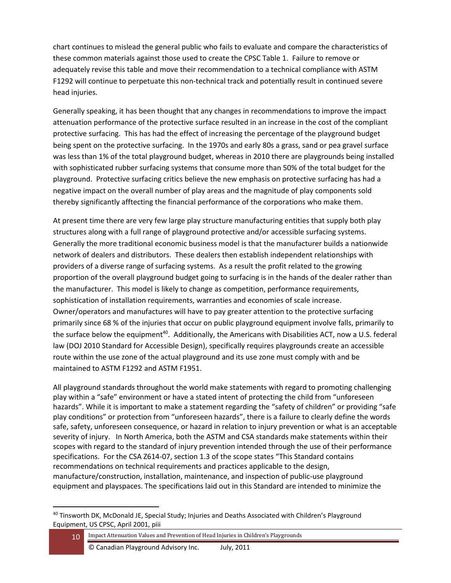chart continues to mislead the general public who fails to evaluate and compare the characteristics of these common materials against those used to create the CPSC Table 1. Failure to remove or adequately revise this table and move their recommendation to a technical compliance with ASTM F1292 will continue to perpetuate this non-technical track and potentially result in continued severe head injuries.

Generally speaking, it has been thought that any changes in recommendations to improve the impact attenuation performance of the protective surface resulted in an increase in the cost of the compliant protective surfacing. This has had the effect of increasing the percentage of the playground budget being spent on the protective surfacing. In the 1970s and early 80s a grass, sand or pea gravel surface was less than 1% of the total playground budget, whereas in 2010 there are playgrounds being installed with sophisticated rubber surfacing systems that consume more than 50% of the total budget for the playground. Protective surfacing critics believe the new emphasis on protective surfacing has had a negative impact on the overall number of play areas and the magnitude of play components sold thereby significantly afftecting the financial performance of the corporations who make them.

At present time there are very few large play structure manufacturing entities that supply both play structures along with a full range of playground protective and/or accessible surfacing systems. Generally the more traditional economic business model is that the manufacturer builds a nationwide network of dealers and distributors. These dealers then establish independent relationships with providers of a diverse range of surfacing systems. As a result the profit related to the growing proportion of the overall playground budget going to surfacing is in the hands of the dealer rather than the manufacturer. This model is likely to change as competition, performance requirements, sophistication of installation requirements, warranties and economies of scale increase. Owner/operators and manufactures will have to pay greater attention to the protective surfacing primarily since 68 % of the injuries that occur on public playground equipment involve falls, primarily to the surface below the equipment<sup>40</sup>. Additionally, the Americans with Disabilities ACT, now a U.S. federal law (DOJ 2010 Standard for Accessible Design), specifically requires playgrounds create an accessible route within the use zone of the actual playground and its use zone must comply with and be maintained to ASTM F1292 and ASTM F1951.

All playground standards throughout the world make statements with regard to promoting challenging play within a "safe" environment or have a stated intent of protecting the child from "unforeseen hazards". While it is important to make a statement regarding the "safety of children" or providing "safe play conditions" or protection from "unforeseen hazards", there is a failure to clearly define the words safe, safety, unforeseen consequence, or hazard in relation to injury prevention or what is an acceptable severity of injury. In North America, both the ASTM and CSA standards make statements within their scopes with regard to the standard of injury prevention intended through the use of their performance specifications. For the CSA Z614-07, section 1.3 of the scope states "This Standard contains recommendations on technical requirements and practices applicable to the design, manufacture/construction, installation, maintenance, and inspection of public-use playground equipment and playspaces. The specifications laid out in this Standard are intended to minimize the

10 Impact Attenuation Values and Prevention of Head Injuries in Children's Playgrounds

<sup>40</sup> Tinsworth DK, McDonald JE, Special Study; Injuries and Deaths Associated with Children's Playground Equipment, US CPSC, April 2001, piii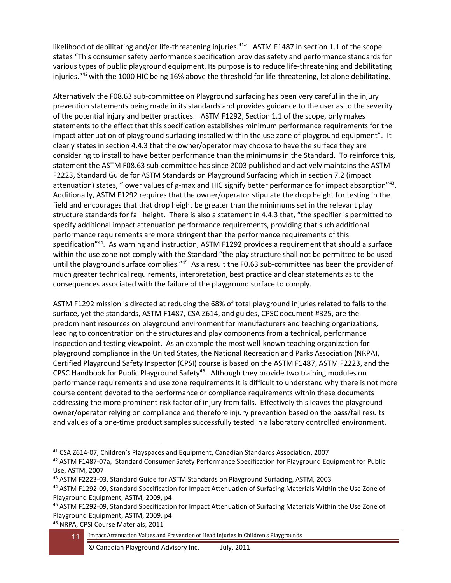likelihood of debilitating and/or life-threatening injuries.<sup>41</sup>" ASTM F1487 in section 1.1 of the scope states "This consumer safety performance specification provides safety and performance standards for various types of public playground equipment. Its purpose is to reduce life-threatening and debilitating injuries."<sup>42</sup> with the 1000 HIC being 16% above the threshold for life-threatening, let alone debilitating.

Alternatively the F08.63 sub-committee on Playground surfacing has been very careful in the injury prevention statements being made in its standards and provides guidance to the user as to the severity of the potential injury and better practices. ASTM F1292, Section 1.1 of the scope, only makes statements to the effect that this specification establishes minimum performance requirements for the impact attenuation of playground surfacing installed within the use zone of playground equipment". It clearly states in section 4.4.3 that the owner/operator may choose to have the surface they are considering to install to have better performance than the minimums in the Standard. To reinforce this, statement the ASTM F08.63 sub-committee has since 2003 published and actively maintains the ASTM F2223, Standard Guide for ASTM Standards on Playground Surfacing which in section 7.2 (impact attenuation) states, "lower values of g-max and HIC signify better performance for impact absorption"<sup>43</sup>. Additionally, ASTM F1292 requires that the owner/operator stipulate the drop height for testing in the field and encourages that that drop height be greater than the minimums set in the relevant play structure standards for fall height. There is also a statement in 4.4.3 that, "the specifier is permitted to specify additional impact attenuation performance requirements, providing that such additional performance requirements are more stringent than the performance requirements of this specification"<sup>44</sup>. As warning and instruction, ASTM F1292 provides a requirement that should a surface within the use zone not comply with the Standard "the play structure shall not be permitted to be used until the playground surface complies."<sup>45</sup> As a result the F0.63 sub-committee has been the provider of much greater technical requirements, interpretation, best practice and clear statements as to the consequences associated with the failure of the playground surface to comply.

ASTM F1292 mission is directed at reducing the 68% of total playground injuries related to falls to the surface, yet the standards, ASTM F1487, CSA Z614, and guides, CPSC document #325, are the predominant resources on playground environment for manufacturers and teaching organizations, leading to concentration on the structures and play components from a technical, performance inspection and testing viewpoint. As an example the most well-known teaching organization for playground compliance in the United States, the National Recreation and Parks Association (NRPA), Certified Playground Safety Inspector (CPSI) course is based on the ASTM F1487, ASTM F2223, and the CPSC Handbook for Public Playground Safety<sup>46</sup>. Although they provide two training modules on performance requirements and use zone requirements it is difficult to understand why there is not more course content devoted to the performance or compliance requirements within these documents addressing the more prominent risk factor of injury from falls. Effectively this leaves the playground owner/operator relying on compliance and therefore injury prevention based on the pass/fail results and values of a one-time product samples successfully tested in a laboratory controlled environment.

<sup>46</sup> NRPA, CPSI Course Materials, 2011

<sup>41</sup> CSA Z614-07, Children's Playspaces and Equipment, Canadian Standards Association, 2007

<sup>42</sup> ASTM F1487-07a, Standard Consumer Safety Performance Specification for Playground Equipment for Public Use, ASTM, 2007

<sup>43</sup> ASTM F2223-03, Standard Guide for ASTM Standards on Playground Surfacing, ASTM, 2003

<sup>44</sup> ASTM F1292-09, Standard Specification for Impact Attenuation of Surfacing Materials Within the Use Zone of Playground Equipment, ASTM, 2009, p4

<sup>&</sup>lt;sup>45</sup> ASTM F1292-09, Standard Specification for Impact Attenuation of Surfacing Materials Within the Use Zone of Playground Equipment, ASTM, 2009, p4

<sup>11</sup> Impact Attenuation Values and Prevention of Head Injuries in Children's Playgrounds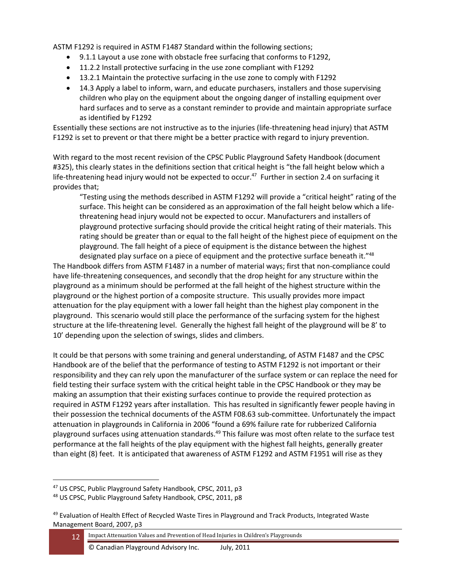ASTM F1292 is required in ASTM F1487 Standard within the following sections;

- 9.1.1 Layout a use zone with obstacle free surfacing that conforms to F1292,
- 11.2.2 Install protective surfacing in the use zone compliant with F1292
- 13.2.1 Maintain the protective surfacing in the use zone to comply with F1292
- 14.3 Apply a label to inform, warn, and educate purchasers, installers and those supervising children who play on the equipment about the ongoing danger of installing equipment over hard surfaces and to serve as a constant reminder to provide and maintain appropriate surface as identified by F1292

Essentially these sections are not instructive as to the injuries (life-threatening head injury) that ASTM F1292 is set to prevent or that there might be a better practice with regard to injury prevention.

With regard to the most recent revision of the CPSC Public Playground Safety Handbook (document #325), this clearly states in the definitions section that critical height is "the fall height below which a life-threatening head injury would not be expected to occur.<sup>47</sup> Further in section 2.4 on surfacing it provides that;

"Testing using the methods described in ASTM F1292 will provide a "critical height" rating of the surface. This height can be considered as an approximation of the fall height below which a lifethreatening head injury would not be expected to occur. Manufacturers and installers of playground protective surfacing should provide the critical height rating of their materials. This rating should be greater than or equal to the fall height of the highest piece of equipment on the playground. The fall height of a piece of equipment is the distance between the highest

designated play surface on a piece of equipment and the protective surface beneath it."48 The Handbook differs from ASTM F1487 in a number of material ways; first that non-compliance could have life-threatening consequences, and secondly that the drop height for any structure within the playground as a minimum should be performed at the fall height of the highest structure within the playground or the highest portion of a composite structure. This usually provides more impact attenuation for the play equipment with a lower fall height than the highest play component in the playground. This scenario would still place the performance of the surfacing system for the highest structure at the life-threatening level. Generally the highest fall height of the playground will be 8' to 10' depending upon the selection of swings, slides and climbers.

It could be that persons with some training and general understanding, of ASTM F1487 and the CPSC Handbook are of the belief that the performance of testing to ASTM F1292 is not important or their responsibility and they can rely upon the manufacturer of the surface system or can replace the need for field testing their surface system with the critical height table in the CPSC Handbook or they may be making an assumption that their existing surfaces continue to provide the required protection as required in ASTM F1292 years after installation. This has resulted in significantly fewer people having in their possession the technical documents of the ASTM F08.63 sub-committee. Unfortunately the impact attenuation in playgrounds in California in 2006 "found a 69% failure rate for rubberized California playground surfaces using attenuation standards.<sup>49</sup> This failure was most often relate to the surface test performance at the fall heights of the play equipment with the highest fall heights, generally greater than eight (8) feet. It is anticipated that awareness of ASTM F1292 and ASTM F1951 will rise as they

<sup>47</sup> US CPSC, Public Playground Safety Handbook, CPSC, 2011, p3

<sup>48</sup> US CPSC, Public Playground Safety Handbook, CPSC, 2011, p8

<sup>&</sup>lt;sup>49</sup> Evaluation of Health Effect of Recycled Waste Tires in Playground and Track Products, Integrated Waste Management Board, 2007, p3

<sup>12</sup> Impact Attenuation Values and Prevention of Head Injuries in Children's Playgrounds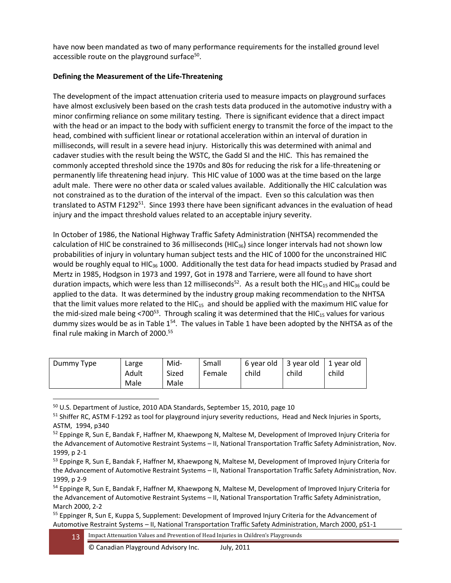have now been mandated as two of many performance requirements for the installed ground level accessible route on the playground surface<sup>50</sup>.

## **Defining the Measurement of the Life-Threatening**

The development of the impact attenuation criteria used to measure impacts on playground surfaces have almost exclusively been based on the crash tests data produced in the automotive industry with a minor confirming reliance on some military testing. There is significant evidence that a direct impact with the head or an impact to the body with sufficient energy to transmit the force of the impact to the head, combined with sufficient linear or rotational acceleration within an interval of duration in milliseconds, will result in a severe head injury. Historically this was determined with animal and cadaver studies with the result being the WSTC, the Gadd SI and the HIC. This has remained the commonly accepted threshold since the 1970s and 80s for reducing the risk for a life-threatening or permanently life threatening head injury. This HIC value of 1000 was at the time based on the large adult male. There were no other data or scaled values available. Additionally the HIC calculation was not constrained as to the duration of the interval of the impact. Even so this calculation was then translated to ASTM F1292<sup>51</sup>. Since 1993 there have been significant advances in the evaluation of head injury and the impact threshold values related to an acceptable injury severity.

In October of 1986, the National Highway Traffic Safety Administration (NHTSA) recommended the calculation of HIC be constrained to 36 milliseconds ( $HIC_{36}$ ) since longer intervals had not shown low probabilities of injury in voluntary human subject tests and the HIC of 1000 for the unconstrained HIC would be roughly equal to HIC<sub>36</sub> 1000. Additionally the test data for head impacts studied by Prasad and Mertz in 1985, Hodgson in 1973 and 1997, Got in 1978 and Tarriere, were all found to have short duration impacts, which were less than 12 milliseconds<sup>52</sup>. As a result both the HIC<sub>15</sub> and HIC<sub>36</sub> could be applied to the data. It was determined by the industry group making recommendation to the NHTSA that the limit values more related to the HIC $_{15}$  and should be applied with the maximum HIC value for the mid-sized male being <700 $53$ . Through scaling it was determined that the HIC<sub>15</sub> values for various dummy sizes would be as in Table  $1^{54}$ . The values in Table 1 have been adopted by the NHTSA as of the final rule making in March of 2000.<sup>55</sup>

| Dummy Type | Large<br>Adult | Mid-<br>Sized | Small<br>Female | child | $\vert$ 6 year old $\vert$ 3 year old $\vert$ 1 year old<br>child | child |
|------------|----------------|---------------|-----------------|-------|-------------------------------------------------------------------|-------|
|            | Male           | Male          |                 |       |                                                                   |       |

<sup>50</sup> U.S. Department of Justice, 2010 ADA Standards, September 15, 2010, page 10

<sup>&</sup>lt;sup>51</sup> Shiffer RC, ASTM F-1292 as tool for playground injury severity reductions, Head and Neck Injuries in Sports, ASTM, 1994, p340

<sup>52</sup> Eppinge R, Sun E, Bandak F, Haffner M, Khaewpong N, Maltese M, Development of Improved Injury Criteria for the Advancement of Automotive Restraint Systems – II, National Transportation Traffic Safety Administration, Nov. 1999, p 2-1

<sup>53</sup> Eppinge R, Sun E, Bandak F, Haffner M, Khaewpong N, Maltese M, Development of Improved Injury Criteria for the Advancement of Automotive Restraint Systems – II, National Transportation Traffic Safety Administration, Nov. 1999, p 2-9

<sup>&</sup>lt;sup>54</sup> Eppinge R, Sun E, Bandak F, Haffner M, Khaewpong N, Maltese M, Development of Improved Injury Criteria for the Advancement of Automotive Restraint Systems - II, National Transportation Traffic Safety Administration, March 2000, 2-2

<sup>&</sup>lt;sup>55</sup> Eppinger R, Sun E, Kuppa S, Supplement: Development of Improved Injury Criteria for the Advancement of Automotive Restraint Systems – II, National Transportation Traffic Safety Administration, March 2000, pS1-1

<sup>13</sup> Impact Attenuation Values and Prevention of Head Injuries in Children's Playgrounds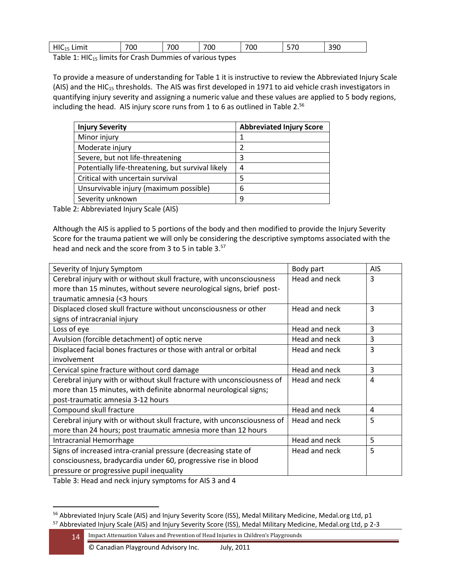| $HIC_{12}$<br>ا اللاتا ال | 700 | 700 | 700 | $\sim$ $\sim$<br>'∪ι | $- - -$<br>~ | 2 Q C<br>しつい |
|---------------------------|-----|-----|-----|----------------------|--------------|--------------|
|                           |     |     |     |                      |              |              |

Table 1:  $HIC<sub>15</sub>$  limits for Crash Dummies of various types

To provide a measure of understanding for Table 1 it is instructive to review the Abbreviated Injury Scale (AIS) and the HIC<sub>15</sub> thresholds. The AIS was first developed in 1971 to aid vehicle crash investigators in quantifying injury severity and assigning a numeric value and these values are applied to 5 body regions, including the head. AIS injury score runs from 1 to 6 as outlined in Table 2. $56$ 

| <b>Injury Severity</b>                            | <b>Abbreviated Injury Score</b> |
|---------------------------------------------------|---------------------------------|
| Minor injury                                      |                                 |
| Moderate injury                                   |                                 |
| Severe, but not life-threatening                  |                                 |
| Potentially life-threatening, but survival likely | 4                               |
| Critical with uncertain survival                  | .5                              |
| Unsurvivable injury (maximum possible)            | 6                               |
| Severity unknown                                  | q                               |

Table 2: Abbreviated Injury Scale (AIS)

Although the AIS is applied to 5 portions of the body and then modified to provide the Injury Severity Score for the trauma patient we will only be considering the descriptive symptoms associated with the head and neck and the score from 3 to 5 in table 3.<sup>57</sup>

| Severity of Injury Symptom                                              | Body part     | <b>AIS</b> |
|-------------------------------------------------------------------------|---------------|------------|
| Cerebral injury with or without skull fracture, with unconsciousness    | Head and neck | 3          |
| more than 15 minutes, without severe neurological signs, brief post-    |               |            |
| traumatic amnesia (<3 hours                                             |               |            |
| Displaced closed skull fracture without unconsciousness or other        | Head and neck | 3          |
| signs of intracranial injury                                            |               |            |
| Loss of eye                                                             | Head and neck | 3          |
| Avulsion (forcible detachment) of optic nerve                           | Head and neck | 3          |
| Displaced facial bones fractures or those with antral or orbital        | Head and neck | 3          |
| involvement                                                             |               |            |
| Cervical spine fracture without cord damage                             | Head and neck | 3          |
| Cerebral injury with or without skull fracture with unconsciousness of  | Head and neck | 4          |
| more than 15 minutes, with definite abnormal neurological signs;        |               |            |
| post-traumatic amnesia 3-12 hours                                       |               |            |
| Compound skull fracture                                                 | Head and neck | 4          |
| Cerebral injury with or without skull fracture, with unconsciousness of | Head and neck | 5          |
| more than 24 hours; post traumatic amnesia more than 12 hours           |               |            |
| Intracranial Hemorrhage                                                 | Head and neck | 5          |
| Signs of increased intra-cranial pressure (decreasing state of          | Head and neck | 5          |
| consciousness, bradycardia under 60, progressive rise in blood          |               |            |
| pressure or progressive pupil inequality                                |               |            |

Table 3: Head and neck injury symptoms for AIS 3 and 4

<sup>&</sup>lt;sup>56</sup> Abbreviated Injury Scale (AIS) and Injury Severity Score (ISS), Medal Military Medicine, Medal.org Ltd, p1 <sup>57</sup> Abbreviated Injury Scale (AIS) and Injury Severity Score (ISS), Medal Military Medicine, Medal.org Ltd, p 2-3

<sup>14</sup> Impact Attenuation Values and Prevention of Head Injuries in Children's Playgrounds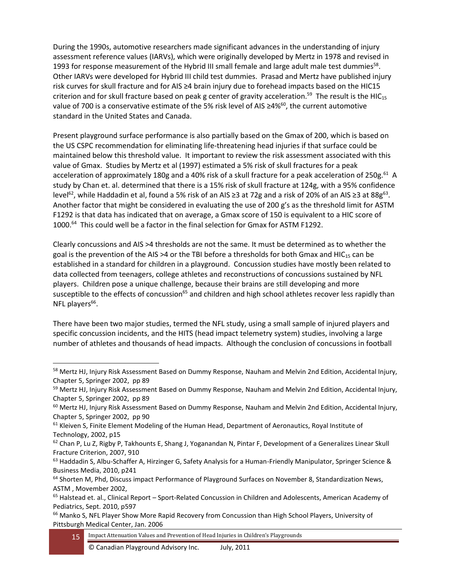During the 1990s, automotive researchers made significant advances in the understanding of injury assessment reference values (IARVs), which were originally developed by Mertz in 1978 and revised in 1993 for response measurement of the Hybrid III small female and large adult male test dummies<sup>58</sup>. Other IARVs were developed for Hybrid III child test dummies. Prasad and Mertz have published injury risk curves for skull fracture and for AIS ≥4 brain injury due to forehead impacts based on the HIC15 criterion and for skull fracture based on peak g center of gravity acceleration.<sup>59</sup> The result is the HIC<sub>15</sub> value of 700 is a conservative estimate of the 5% risk level of AIS ≥4%<sup>60</sup>, the current automotive standard in the United States and Canada.

Present playground surface performance is also partially based on the Gmax of 200, which is based on the US CSPC recommendation for eliminating life-threatening head injuries if that surface could be maintained below this threshold value. It important to review the risk assessment associated with this value of Gmax. Studies by Mertz et al (1997) estimated a 5% risk of skull fractures for a peak acceleration of approximately 180g and a 40% risk of a skull fracture for a peak acceleration of 250g.<sup>61</sup> A study by Chan et. al. determined that there is a 15% risk of skull fracture at 124g, with a 95% confidence level<sup>62</sup>, while Haddadin et al, found a 5% risk of an AIS ≥3 at 72g and a risk of 20% of an AIS ≥3 at 88g<sup>63</sup>. Another factor that might be considered in evaluating the use of 200 g's as the threshold limit for ASTM F1292 is that data has indicated that on average, a Gmax score of 150 is equivalent to a HIC score of 1000.<sup>64</sup> This could well be a factor in the final selection for Gmax for ASTM F1292.

Clearly concussions and AIS >4 thresholds are not the same. It must be determined as to whether the goal is the prevention of the AIS >4 or the TBI before a thresholds for both Gmax and HIC $_{15}$  can be established in a standard for children in a playground. Concussion studies have mostly been related to data collected from teenagers, college athletes and reconstructions of concussions sustained by NFL players. Children pose a unique challenge, because their brains are still developing and more susceptible to the effects of concussion<sup>65</sup> and children and high school athletes recover less rapidly than NFL players<sup>66</sup>.

There have been two major studies, termed the NFL study, using a small sample of injured players and specific concussion incidents, and the HITS (head impact telemetry system) studies, involving a large number of athletes and thousands of head impacts. Although the conclusion of concussions in football

<sup>58</sup> Mertz HJ, Injury Risk Assessment Based on Dummy Response, Nauham and Melvin 2nd Edition, Accidental Injury, Chapter 5, Springer 2002, pp 89

<sup>&</sup>lt;sup>59</sup> Mertz HJ, Injury Risk Assessment Based on Dummy Response, Nauham and Melvin 2nd Edition, Accidental Injury, Chapter 5, Springer 2002, pp 89

<sup>&</sup>lt;sup>60</sup> Mertz HJ, Injury Risk Assessment Based on Dummy Response, Nauham and Melvin 2nd Edition, Accidental Injury, Chapter 5, Springer 2002, pp 90

 $61$  Kleiven S, Finite Element Modeling of the Human Head, Department of Aeronautics, Royal Institute of Technology, 2002, p15

 $62$  Chan P, Lu Z, Rigby P, Takhounts E, Shang J, Yoganandan N, Pintar F, Development of a Generalizes Linear Skull Fracture Criterion, 2007, 910

<sup>&</sup>lt;sup>63</sup> Haddadin S, Albu-Schaffer A, Hirzinger G, Safety Analysis for a Human-Friendly Manipulator, Springer Science & Business Media, 2010, p241

<sup>&</sup>lt;sup>64</sup> Shorten M, Phd, Discuss impact Performance of Playground Surfaces on November 8, Standardization News, ASTM , Movember 2002,

<sup>&</sup>lt;sup>65</sup> Halstead et. al., Clinical Report – Sport-Related Concussion in Children and Adolescents, American Academy of Pediatrics, Sept. 2010, p597

<sup>&</sup>lt;sup>66</sup> Manko S, NFL Player Show More Rapid Recovery from Concussion than High School Players, University of Pittsburgh Medical Center, Jan. 2006

<sup>15</sup> Impact Attenuation Values and Prevention of Head Injuries in Children's Playgrounds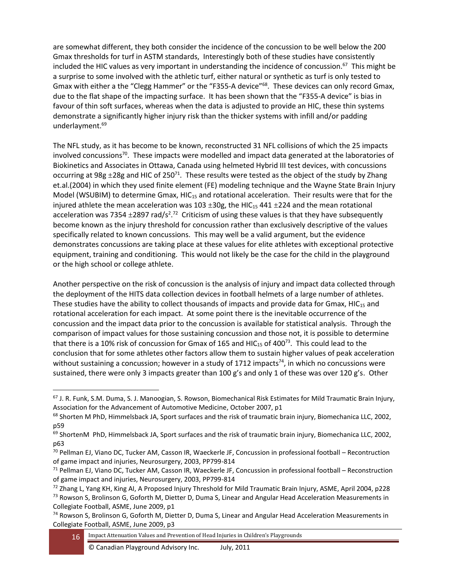are somewhat different, they both consider the incidence of the concussion to be well below the 200 Gmax thresholds for turf in ASTM standards, Interestingly both of these studies have consistently included the HIC values as very important in understanding the incidence of concussion.<sup>67</sup> This might be a surprise to some involved with the athletic turf, either natural or synthetic as turf is only tested to Gmax with either a the "Clegg Hammer" or the "F355-A device"<sup>68</sup>. These devices can only record Gmax, due to the flat shape of the impacting surface. It has been shown that the "F355-A device" is bias in favour of thin soft surfaces, whereas when the data is adjusted to provide an HIC, these thin systems demonstrate a significantly higher injury risk than the thicker systems with infill and/or padding underlayment. 69

The NFL study, as it has become to be known, reconstructed 31 NFL collisions of which the 25 impacts involved concussions<sup>70</sup>. These impacts were modelled and impact data generated at the laboratories of Biokinetics and Associates in Ottawa, Canada using helmeted Hybrid III test devices, with concussions occurring at 98g  $\pm 28$ g and HIC of 250<sup>71</sup>. These results were tested as the object of the study by Zhang et.al.(2004) in which they used finite element (FE) modeling technique and the Wayne State Brain Injury Model (WSUBIM) to determine Gmax,  $HIC_{15}$  and rotational acceleration. Their results were that for the injured athlete the mean acceleration was 103  $\pm$ 30g, the HIC<sub>15</sub> 441  $\pm$ 224 and the mean rotational acceleration was 7354  $\pm$ 2897 rad/s<sup>2</sup>.<sup>72</sup> Criticism of using these values is that they have subsequently become known as the injury threshold for concussion rather than exclusively descriptive of the values specifically related to known concussions. This may well be a valid argument, but the evidence demonstrates concussions are taking place at these values for elite athletes with exceptional protective equipment, training and conditioning. This would not likely be the case for the child in the playground or the high school or college athlete.

Another perspective on the risk of concussion is the analysis of injury and impact data collected through the deployment of the HITS data collection devices in football helmets of a large number of athletes. These studies have the ability to collect thousands of impacts and provide data for Gmax, HIC $_{15}$  and rotational acceleration for each impact. At some point there is the inevitable occurrence of the concussion and the impact data prior to the concussion is available for statistical analysis. Through the comparison of impact values for those sustaining concussion and those not, it is possible to determine that there is a 10% risk of concussion for Gmax of 165 and HIC<sub>15</sub> of 400<sup>73</sup>. This could lead to the conclusion that for some athletes other factors allow them to sustain higher values of peak acceleration without sustaining a concussion; however in a study of 1712 impacts $^{74}$ , in which no concussions were sustained, there were only 3 impacts greater than 100 g's and only 1 of these was over 120 g's. Other

<sup>67</sup> J. R. Funk, S.M. Duma, S. J. Manoogian, S. Rowson, Biomechanical Risk Estimates for Mild Traumatic Brain Injury, Association for the Advancement of Automotive Medicine, October 2007, p1

<sup>&</sup>lt;sup>68</sup> Shorten M PhD, Himmelsback JA, Sport surfaces and the risk of traumatic brain injury, Biomechanica LLC, 2002, p59

 $69$  ShortenM PhD, Himmelsback JA, Sport surfaces and the risk of traumatic brain injury, Biomechanica LLC, 2002, p63

 $^{70}$  Pellman EJ, Viano DC, Tucker AM, Casson IR, Waeckerle JF, Concussion in professional football – Recontruction of game impact and injuries, Neurosurgery, 2003, PP799-814

 $71$  Pellman EJ, Viano DC, Tucker AM, Casson IR, Waeckerle JF, Concussion in professional football – Reconstruction of game impact and injuries, Neurosurgery, 2003, PP799-814

 $72$  Zhang L, Yang KH, King AI, A Proposed Injury Threshold for Mild Traumatic Brain Injury, ASME, April 2004, p228

<sup>&</sup>lt;sup>73</sup> Rowson S, Brolinson G, Goforth M, Dietter D, Duma S, Linear and Angular Head Acceleration Measurements in Collegiate Football, ASME, June 2009, p1

<sup>74</sup> Rowson S, Brolinson G, Goforth M, Dietter D, Duma S, Linear and Angular Head Acceleration Measurements in Collegiate Football, ASME, June 2009, p3

<sup>16</sup> Impact Attenuation Values and Prevention of Head Injuries in Children's Playgrounds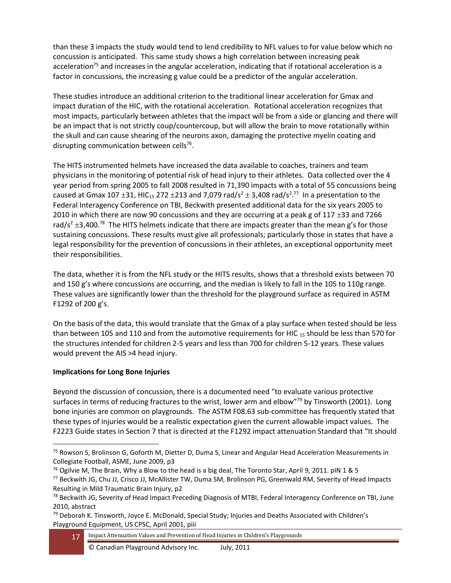than these 3 impacts the study would tend to lend credibility to NFL values to for value below which no concussion is anticipated. This same study shows a high correlation between increasing peak acceleration<sup>75</sup> and increases in the angular acceleration, indicating that if rotational acceleration is a factor in concussions, the increasing g value could be a predictor of the angular acceleration.

These studies introduce an additional criterion to the traditional linear acceleration for Gmax and impact duration of the HIC, with the rotational acceleration. Rotational acceleration recognizes that most impacts, particularly between athletes that the impact will be from a side or glancing and there will be an impact that is not strictly coup/countercoup, but will allow the brain to move rotationally within the skull and can cause shearing of the neurons axon, damaging the protective myelin coating and disrupting communication between cells<sup>76</sup>.

The HITS instrumented helmets have increased the data available to coaches, trainers and team physicians in the monitoring of potential risk of head injury to their athletes. Data collected over the 4 year period from spring 2005 to fall 2008 resulted in 71,390 impacts with a total of 55 concussions being caused at Gmax 107  $\pm$ 31, HIC<sub>15</sub> 272  $\pm$ 213 and 7,079 rad/s<sup>2</sup>  $\pm$  3,408 rad/s<sup>2</sup>.<sup>77</sup> In a presentation to the Federal Interagency Conference on TBI, Beckwith presented additional data for the six years 2005 to 2010 in which there are now 90 concussions and they are occurring at a peak g of 117  $\pm$ 33 and 7266 rad/s<sup>2</sup>  $\pm$ 3,400.<sup>78</sup> The HITS helmets indicate that there are impacts greater than the mean g's for those sustaining concussions. These results must give all professionals; particularly those in states that have a legal responsibility for the prevention of concussions in their athletes, an exceptional opportunity meet their responsibilities.

The data, whether it is from the NFL study or the HITS results, shows that a threshold exists between 70 and 150 g's where concussions are occurring, and the median is likely to fall in the 105 to 110g range. These values are significantly lower than the threshold for the playground surface as required in ASTM F1292 of 200 g's.

On the basis of the data, this would translate that the Gmax of a play surface when tested should be less than between 105 and 110 and from the automotive requirements for HIC  $_{15}$  should be less than 570 for the structures intended for children 2-5 years and less than 700 for children 5-12 years. These values would prevent the AIS >4 head injury.

### **Implications for Long Bone Injuries**

Beyond the discussion of concussion, there is a documented need "to evaluate various protective surfaces in terms of reducing fractures to the wrist, lower arm and elbow<sup>"79</sup> by Tinsworth (2001). Long bone injuries are common on playgrounds. The ASTM F08.63 sub-committee has frequently stated that these types of injuries would be a realistic expectation given the current allowable impact values. The F2223 Guide states in Section 7 that is directed at the F1292 impact attenuation Standard that "It should

<sup>&</sup>lt;sup>75</sup> Rowson S, Brolinson G, Goforth M, Dietter D, Duma S, Linear and Angular Head Acceleration Measurements in Collegiate Football, ASME, June 2009, p3

<sup>&</sup>lt;sup>76</sup> Ogilvie M, The Brain, Why a Blow to the head is a big deal, The Toronto Star, April 9, 2011. plN 1 & 5

<sup>77</sup> Beckwith JG, Chu JJ, Crisco JJ, McAllister TW, Duma SM, Brolinson PG, Greenwald RM, Severity of Head Impacts Resulting in Mild Traumatic Brain Injury, p2

<sup>&</sup>lt;sup>78</sup> Beckwith JG, Severity of Head Impact Preceding Diagnosis of MTBI, Federal Interagency Conference on TBI, June 2010, abstract

 $79$  Deborah K. Tinsworth, Joyce E. McDonald, Special Study; Injuries and Deaths Associated with Children's Playground Equipment, US CPSC, April 2001, piii

<sup>17</sup> Impact Attenuation Values and Prevention of Head Injuries in Children's Playgrounds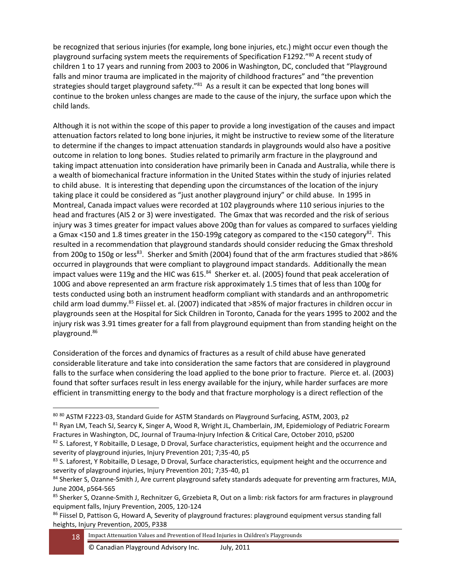be recognized that serious injuries (for example, long bone injuries, etc.) might occur even though the playground surfacing system meets the requirements of Specification F1292."<sup>80</sup> A recent study of children 1 to 17 years and running from 2003 to 2006 in Washington, DC, concluded that "Playground falls and minor trauma are implicated in the majority of childhood fractures" and "the prevention strategies should target playground safety."<sup>81</sup> As a result it can be expected that long bones will continue to the broken unless changes are made to the cause of the injury, the surface upon which the child lands.

Although it is not within the scope of this paper to provide a long investigation of the causes and impact attenuation factors related to long bone injuries, it might be instructive to review some of the literature to determine if the changes to impact attenuation standards in playgrounds would also have a positive outcome in relation to long bones. Studies related to primarily arm fracture in the playground and taking impact attenuation into consideration have primarily been in Canada and Australia, while there is a wealth of biomechanical fracture information in the United States within the study of injuries related to child abuse. It is interesting that depending upon the circumstances of the location of the injury taking place it could be considered as "just another playground injury" or child abuse. In 1995 in Montreal, Canada impact values were recorded at 102 playgrounds where 110 serious injuries to the head and fractures (AIS 2 or 3) were investigated. The Gmax that was recorded and the risk of serious injury was 3 times greater for impact values above 200g than for values as compared to surfaces yielding a Gmax <150 and 1.8 times greater in the 150-199g category as compared to the <150 category<sup>82</sup>. This resulted in a recommendation that playground standards should consider reducing the Gmax threshold from 200g to 150g or less<sup>83</sup>. Sherker and Smith (2004) found that of the arm fractures studied that >86% occurred in playgrounds that were compliant to playground impact standards. Additionally the mean impact values were 119g and the HIC was 615.<sup>84</sup> Sherker et. al. (2005) found that peak acceleration of 100G and above represented an arm fracture risk approximately 1.5 times that of less than 100g for tests conducted using both an instrument headform compliant with standards and an anthropometric child arm load dummy.<sup>85</sup> Fiissel et. al. (2007) indicated that >85% of major fractures in children occur in playgrounds seen at the Hospital for Sick Children in Toronto, Canada for the years 1995 to 2002 and the injury risk was 3.91 times greater for a fall from playground equipment than from standing height on the playground.<sup>86</sup>

Consideration of the forces and dynamics of fractures as a result of child abuse have generated considerable literature and take into consideration the same factors that are considered in playground falls to the surface when considering the load applied to the bone prior to fracture. Pierce et. al. (2003) found that softer surfaces result in less energy available for the injury, while harder surfaces are more efficient in transmitting energy to the body and that fracture morphology is a direct reflection of the

<sup>80 80</sup> ASTM F2223-03, Standard Guide for ASTM Standards on Playground Surfacing, ASTM, 2003, p2 <sup>81</sup> Ryan LM, Teach SJ, Searcy K, Singer A, Wood R, Wright JL, Chamberlain, JM, Epidemiology of Pediatric Forearm Fractures in Washington, DC, Journal of Trauma-Injury Infection & Critical Care, October 2010, pS200

 $82$  S. Laforest, Y Robitaille, D Lesage, D Droval, Surface characteristics, equipment height and the occurrence and severity of playground injuries, Injury Prevention 201; 7;35-40, p5

<sup>83</sup> S. Laforest, Y Robitaille, D Lesage, D Droval, Surface characteristics, equipment height and the occurrence and severity of playground injuries, Injury Prevention 201; 7;35-40, p1

<sup>84</sup> Sherker S, Ozanne-Smith J, Are current playground safety standards adequate for preventing arm fractures, MJA, June 2004, p564-565

<sup>85</sup> Sherker S, Ozanne-Smith J, Rechnitzer G, Grzebieta R, Out on a limb: risk factors for arm fractures in playground equipment falls, Injury Prevention, 2005, 120-124

<sup>&</sup>lt;sup>86</sup> Fiissel D, Pattison G, Howard A, Severity of playground fractures: playground equipment versus standing fall heights, Injury Prevention, 2005, P338

<sup>18</sup> Impact Attenuation Values and Prevention of Head Injuries in Children's Playgrounds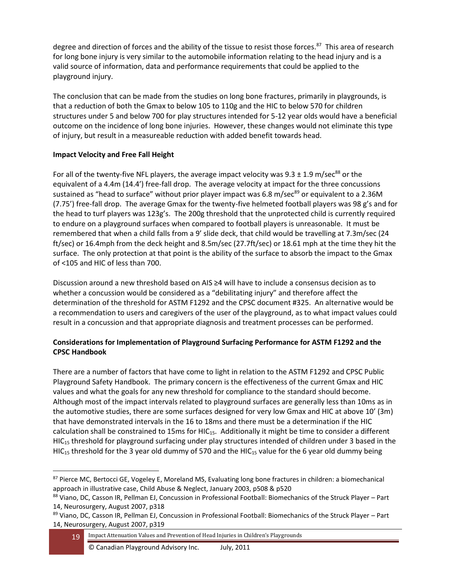degree and direction of forces and the ability of the tissue to resist those forces.<sup>87</sup> This area of research for long bone injury is very similar to the automobile information relating to the head injury and is a valid source of information, data and performance requirements that could be applied to the playground injury.

The conclusion that can be made from the studies on long bone fractures, primarily in playgrounds, is that a reduction of both the Gmax to below 105 to 110g and the HIC to below 570 for children structures under 5 and below 700 for play structures intended for 5-12 year olds would have a beneficial outcome on the incidence of long bone injuries. However, these changes would not eliminate this type of injury, but result in a measureable reduction with added benefit towards head.

### **Impact Velocity and Free Fall Height**

For all of the twenty-five NFL players, the average impact velocity was 9.3  $\pm$  1.9 m/sec<sup>88</sup> or the equivalent of a 4.4m (14.4') free-fall drop. The average velocity at impact for the three concussions sustained as "head to surface" without prior player impact was 6.8 m/sec<sup>89</sup> or equivalent to a 2.36M (7.75') free-fall drop. The average Gmax for the twenty-five helmeted football players was 98 g's and for the head to turf players was 123g's. The 200g threshold that the unprotected child is currently required to endure on a playground surfaces when compared to football players is unreasonable. It must be remembered that when a child falls from a 9' slide deck, that child would be travelling at 7.3m/sec (24 ft/sec) or 16.4mph from the deck height and 8.5m/sec (27.7ft/sec) or 18.61 mph at the time they hit the surface. The only protection at that point is the ability of the surface to absorb the impact to the Gmax of <105 and HIC of less than 700.

Discussion around a new threshold based on AIS ≥4 will have to include a consensus decision as to whether a concussion would be considered as a "debilitating injury" and therefore affect the determination of the threshold for ASTM F1292 and the CPSC document #325. An alternative would be a recommendation to users and caregivers of the user of the playground, as to what impact values could result in a concussion and that appropriate diagnosis and treatment processes can be performed.

## **Considerations for Implementation of Playground Surfacing Performance for ASTM F1292 and the CPSC Handbook**

There are a number of factors that have come to light in relation to the ASTM F1292 and CPSC Public Playground Safety Handbook. The primary concern is the effectiveness of the current Gmax and HIC values and what the goals for any new threshold for compliance to the standard should become. Although most of the impact intervals related to playground surfaces are generally less than 10ms as in the automotive studies, there are some surfaces designed for very low Gmax and HIC at above 10' (3m) that have demonstrated intervals in the 16 to 18ms and there must be a determination if the HIC calculation shall be constrained to 15ms for HIC<sub>15</sub>. Additionally it might be time to consider a different  $HIC<sub>15</sub>$  threshold for playground surfacing under play structures intended of children under 3 based in the  $HIC_{15}$  threshold for the 3 year old dummy of 570 and the HIC<sub>15</sub> value for the 6 year old dummy being

<sup>87</sup> Pierce MC, Bertocci GE, Vogeley E, Moreland MS, Evaluating long bone fractures in children: a biomechanical approach in illustrative case, Child Abuse & Neglect, January 2003, p508 & p520

<sup>88</sup> Viano, DC, Casson IR, Pellman EJ, Concussion in Professional Football: Biomechanics of the Struck Player – Part 14, Neurosurgery, August 2007, p318

<sup>89</sup> Viano, DC, Casson IR, Pellman EJ, Concussion in Professional Football: Biomechanics of the Struck Player – Part 14, Neurosurgery, August 2007, p319

<sup>19</sup> Impact Attenuation Values and Prevention of Head Injuries in Children's Playgrounds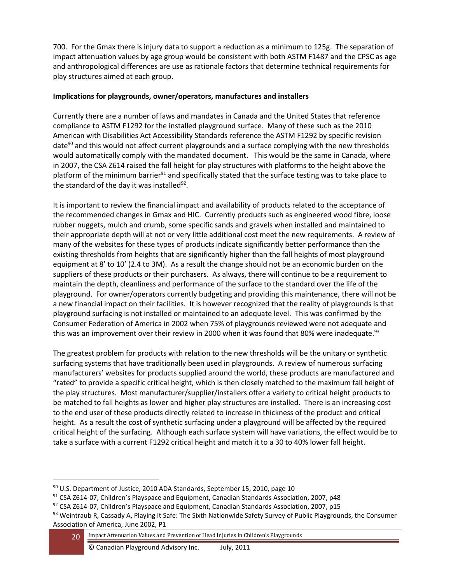700. For the Gmax there is injury data to support a reduction as a minimum to 125g. The separation of impact attenuation values by age group would be consistent with both ASTM F1487 and the CPSC as age and anthropological differences are use as rationale factors that determine technical requirements for play structures aimed at each group.

#### **Implications for playgrounds, owner/operators, manufactures and installers**

Currently there are a number of laws and mandates in Canada and the United States that reference compliance to ASTM F1292 for the installed playground surface. Many of these such as the 2010 American with Disabilities Act Accessibility Standards reference the ASTM F1292 by specific revision date<sup>90</sup> and this would not affect current playgrounds and a surface complying with the new thresholds would automatically comply with the mandated document. This would be the same in Canada, where in 2007, the CSA Z614 raised the fall height for play structures with platforms to the height above the platform of the minimum barrier<sup>91</sup> and specifically stated that the surface testing was to take place to the standard of the day it was installed<sup>92</sup>.

It is important to review the financial impact and availability of products related to the acceptance of the recommended changes in Gmax and HIC. Currently products such as engineered wood fibre, loose rubber nuggets, mulch and crumb, some specific sands and gravels when installed and maintained to their appropriate depth will at not or very little additional cost meet the new requirements. A review of many of the websites for these types of products indicate significantly better performance than the existing thresholds from heights that are significantly higher than the fall heights of most playground equipment at 8' to 10' (2.4 to 3M). As a result the change should not be an economic burden on the suppliers of these products or their purchasers. As always, there will continue to be a requirement to maintain the depth, cleanliness and performance of the surface to the standard over the life of the playground. For owner/operators currently budgeting and providing this maintenance, there will not be a new financial impact on their facilities. It is however recognized that the reality of playgrounds is that playground surfacing is not installed or maintained to an adequate level. This was confirmed by the Consumer Federation of America in 2002 when 75% of playgrounds reviewed were not adequate and this was an improvement over their review in 2000 when it was found that 80% were inadequate.<sup>93</sup>

The greatest problem for products with relation to the new thresholds will be the unitary or synthetic surfacing systems that have traditionally been used in playgrounds. A review of numerous surfacing manufacturers' websites for products supplied around the world, these products are manufactured and "rated" to provide a specific critical height, which is then closely matched to the maximum fall height of the play structures. Most manufacturer/supplier/installers offer a variety to critical height products to be matched to fall heights as lower and higher play structures are installed. There is an increasing cost to the end user of these products directly related to increase in thickness of the product and critical height. As a result the cost of synthetic surfacing under a playground will be affected by the required critical height of the surfacing. Although each surface system will have variations, the effect would be to take a surface with a current F1292 critical height and match it to a 30 to 40% lower fall height.

 $90$  U.S. Department of Justice, 2010 ADA Standards, September 15, 2010, page 10

<sup>91</sup> CSA Z614-07, Children's Playspace and Equipment, Canadian Standards Association, 2007, p48

 $92$  CSA Z614-07, Children's Playspace and Equipment, Canadian Standards Association, 2007, p15

<sup>93</sup> Weintraub R, Cassady A, Playing It Safe: The Sixth Nationwide Safety Survey of Public Playgrounds, the Consumer Association of America, June 2002, P1

<sup>20</sup> Impact Attenuation Values and Prevention of Head Injuries in Children's Playgrounds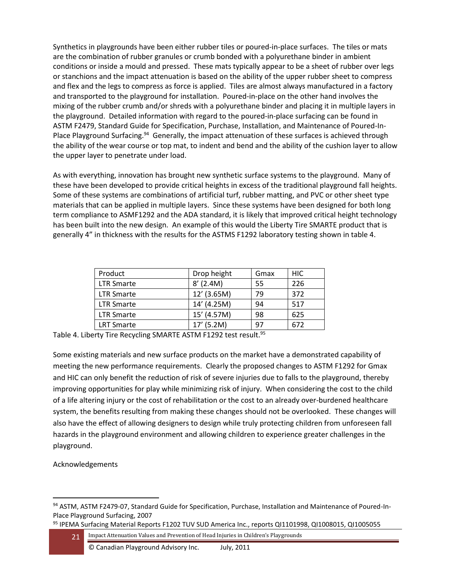Synthetics in playgrounds have been either rubber tiles or poured-in-place surfaces. The tiles or mats are the combination of rubber granules or crumb bonded with a polyurethane binder in ambient conditions or inside a mould and pressed. These mats typically appear to be a sheet of rubber over legs or stanchions and the impact attenuation is based on the ability of the upper rubber sheet to compress and flex and the legs to compress as force is applied. Tiles are almost always manufactured in a factory and transported to the playground for installation. Poured-in-place on the other hand involves the mixing of the rubber crumb and/or shreds with a polyurethane binder and placing it in multiple layers in the playground. Detailed information with regard to the poured-in-place surfacing can be found in ASTM F2479, Standard Guide for Specification, Purchase, Installation, and Maintenance of Poured-In-Place Playground Surfacing.<sup>94</sup> Generally, the impact attenuation of these surfaces is achieved through the ability of the wear course or top mat, to indent and bend and the ability of the cushion layer to allow the upper layer to penetrate under load.

As with everything, innovation has brought new synthetic surface systems to the playground. Many of these have been developed to provide critical heights in excess of the traditional playground fall heights. Some of these systems are combinations of artificial turf, rubber matting, and PVC or other sheet type materials that can be applied in multiple layers. Since these systems have been designed for both long term compliance to ASMF1292 and the ADA standard, it is likely that improved critical height technology has been built into the new design. An example of this would the Liberty Tire SMARTE product that is generally 4" in thickness with the results for the ASTMS F1292 laboratory testing shown in table 4.

| Product           | Drop height | Gmax | <b>HIC</b> |
|-------------------|-------------|------|------------|
| <b>LTR Smarte</b> | $8'$ (2.4M) | 55   | 226        |
| <b>LTR Smarte</b> | 12' (3.65M) | 79   | 372        |
| <b>LTR Smarte</b> | 14' (4.25M) | 94   | 517        |
| <b>LTR Smarte</b> | 15' (4.57M) | 98   | 625        |
| <b>LRT Smarte</b> | 17' (5.2M)  | 97   | 672        |

Table 4. Liberty Tire Recycling SMARTE ASTM F1292 test result.<sup>95</sup>

Some existing materials and new surface products on the market have a demonstrated capability of meeting the new performance requirements. Clearly the proposed changes to ASTM F1292 for Gmax and HIC can only benefit the reduction of risk of severe injuries due to falls to the playground, thereby improving opportunities for play while minimizing risk of injury. When considering the cost to the child of a life altering injury or the cost of rehabilitation or the cost to an already over-burdened healthcare system, the benefits resulting from making these changes should not be overlooked. These changes will also have the effect of allowing designers to design while truly protecting children from unforeseen fall hazards in the playground environment and allowing children to experience greater challenges in the playground.

Acknowledgements

<sup>94</sup> ASTM, ASTM F2479-07, Standard Guide for Specification, Purchase, Installation and Maintenance of Poured-In-Place Playground Surfacing, 2007

<sup>95</sup> IPEMA Surfacing Material Reports F1202 TUV SUD America Inc., reports QI1101998, QI1008015, QI1005055

<sup>21</sup> Impact Attenuation Values and Prevention of Head Injuries in Children's Playgrounds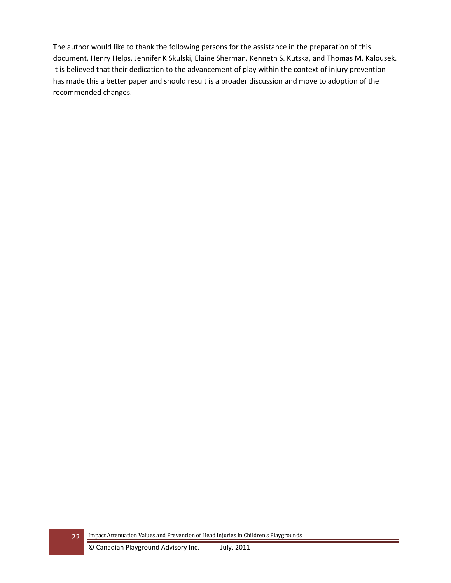The author would like to thank the following persons for the assistance in the preparation of this document, Henry Helps, Jennifer K Skulski, Elaine Sherman, Kenneth S. Kutska, and Thomas M. Kalousek. It is believed that their dedication to the advancement of play within the context of injury prevention has made this a better paper and should result is a broader discussion and move to adoption of the recommended changes.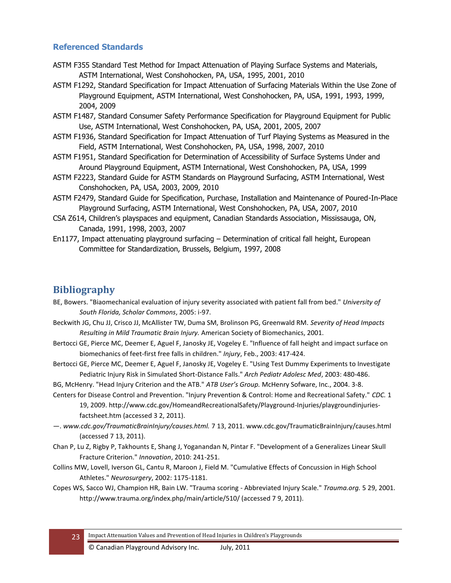## **Referenced Standards**

- ASTM F355 Standard Test Method for Impact Attenuation of Playing Surface Systems and Materials, ASTM International, West Conshohocken, PA, USA, 1995, 2001, 2010
- ASTM F1292, Standard Specification for Impact Attenuation of Surfacing Materials Within the Use Zone of Playground Equipment, ASTM International, West Conshohocken, PA, USA, 1991, 1993, 1999, 2004, 2009
- ASTM F1487, Standard Consumer Safety Performance Specification for Playground Equipment for Public Use, ASTM International, West Conshohocken, PA, USA, 2001, 2005, 2007
- ASTM F1936, Standard Specification for Impact Attenuation of Turf Playing Systems as Measured in the Field, ASTM International, West Conshohocken, PA, USA, 1998, 2007, 2010
- ASTM F1951, Standard Specification for Determination of Accessibility of Surface Systems Under and Around Playground Equipment, ASTM International, West Conshohocken, PA, USA, 1999
- ASTM F2223, Standard Guide for ASTM Standards on Playground Surfacing, ASTM International, West Conshohocken, PA, USA, 2003, 2009, 2010
- ASTM F2479, Standard Guide for Specification, Purchase, Installation and Maintenance of Poured-In-Place Playground Surfacing, ASTM International, West Conshohocken, PA, USA, 2007, 2010
- CSA Z614, Children's playspaces and equipment, Canadian Standards Association, Mississauga, ON, Canada, 1991, 1998, 2003, 2007
- En1177, Impact attenuating playground surfacing Determination of critical fall height, European Committee for Standardization, Brussels, Belgium, 1997, 2008

# **Bibliography**

- BE, Bowers. "Biaomechanical evaluation of injury severity associated with patient fall from bed." *University of South Florida, Scholar Commons*, 2005: i-97.
- Beckwith JG, Chu JJ, Crisco JJ, McAllister TW, Duma SM, Brolinson PG, Greenwald RM. *Severity of Head Impacts Resulting in Mild Traumatic Brain Injury.* American Society of Biomechanics, 2001.
- Bertocci GE, Pierce MC, Deemer E, Aguel F, Janosky JE, Vogeley E. "Influence of fall height and impact surface on biomechanics of feet-first free falls in children." *Injury*, Feb., 2003: 417-424.
- Bertocci GE, Pierce MC, Deemer E, Aguel F, Janosky JE, Vogeley E. "Using Test Dummy Experiments to Investigate Pediatric Injury Risk in Simulated Short-Distance Falls." *Arch Pediatr Adolesc Med*, 2003: 480-486.
- BG, McHenry. "Head Injury Criterion and the ATB." *ATB User's Group.* McHenry Sofware, Inc., 2004. 3-8.
- Centers for Disease Control and Prevention. "Injury Prevention & Control: Home and Recreational Safety." *CDC.* 1 19, 2009. http://www.cdc.gov/HomeandRecreationalSafety/Playground-Injuries/playgroundinjuriesfactsheet.htm (accessed 3 2, 2011).
- —. *www.cdc.gov/TraumaticBrainInjury/causes.html.* 7 13, 2011. www.cdc.gov/TraumaticBrainInjury/causes.html (accessed 7 13, 2011).
- Chan P, Lu Z, Rigby P, Takhounts E, Shang J, Yoganandan N, Pintar F. "Development of a Generalizes Linear Skull Fracture Criterion." *Innovation*, 2010: 241-251.
- Collins MW, Lovell, Iverson GL, Cantu R, Maroon J, Field M. "Cumulative Effects of Concussion in High School Athletes." *Neurosurgery*, 2002: 1175-1181.
- Copes WS, Sacco WJ, Champion HR, Bain LW. "Trauma scoring Abbreviated Injury Scale." *Trauma.org.* 5 29, 2001. http://www.trauma.org/index.php/main/article/510/ (accessed 7 9, 2011).
	- 23 Impact Attenuation Values and Prevention of Head Injuries in Children's Playgrounds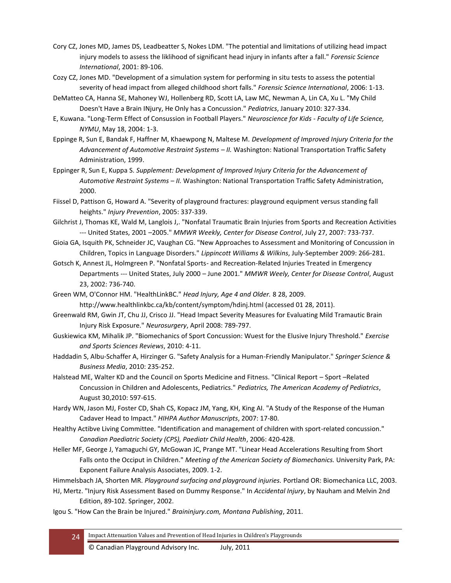- Cory CZ, Jones MD, James DS, Leadbeatter S, Nokes LDM. "The potential and limitations of utilizing head impact injury models to assess the liklihood of significant head injury in infants after a fall." *Forensic Science International*, 2001: 89-106.
- Cozy CZ, Jones MD. "Development of a simulation system for performing in situ tests to assess the potential severity of head impact from alleged childhood short falls." *Forensic Science International*, 2006: 1-13.
- DeMatteo CA, Hanna SE, Mahoney WJ, Hollenberg RD, Scott LA, Law MC, Newman A, Lin CA, Xu L. "My Child Doesn't Have a Brain INjury, He Only has a Concussion." *Pediatrics*, January 2010: 327-334.
- E, Kuwana. "Long-Term Effect of Consussion in Football Players." *Neuroscience for Kids - Faculty of Life Science, NYMU*, May 18, 2004: 1-3.
- Eppinge R, Sun E, Bandak F, Haffner M, Khaewpong N, Maltese M. *Development of Improved Injury Criteria for the Advancement of Automotive Restraint Systems – II.* Washington: National Transportation Traffic Safety Administration, 1999.
- Eppinger R, Sun E, Kuppa S. *Supplement: Development of Improved Injury Criteria for the Advancement of Automotive Restraint Systems – II.* Washington: National Transportation Traffic Safety Administration, 2000.
- Fiissel D, Pattison G, Howard A. "Severity of playground fractures: playground equipment versus standing fall heights." *Injury Prevention*, 2005: 337-339.
- Gilchrist J, Thomas KE, Wald M, Langlois J,. "Nonfatal Traumatic Brain Injuries from Sports and Recreation Activities --- United States, 2001 –2005." *MMWR Weekly, Center for Disease Control*, July 27, 2007: 733-737.
- Gioia GA, Isquith PK, Schneider JC, Vaughan CG. "New Approaches to Assessment and Monitoring of Concussion in Children, Topics in Language Disorders." *Lippincott Williams & Wilkins*, July-September 2009: 266-281.
- Gotsch K, Annest JL, Holmgreen P. "Nonfatal Sports- and Recreation-Related Injuries Treated in Emergency Departments --- United States, July 2000 – June 2001." *MMWR Weely, Center for Disease Control*, August 23, 2002: 736-740.
- Green WM, O'Connor HM. "HealthLinkBC." *Head Injury, Age 4 and Older.* 8 28, 2009. http://www.healthlinkbc.ca/kb/content/symptom/hdinj.html (accessed 01 28, 2011).
- Greenwald RM, Gwin JT, Chu JJ, Crisco JJ. "Head Impact Severity Measures for Evaluating Mild Tramautic Brain Injury Risk Exposure." *Neurosurgery*, April 2008: 789-797.
- Guskiewica KM, Mihalik JP. "Biomechanics of Sport Concussion: Wuest for the Elusive Injury Threshold." *Exercise and Sports Sciences Reviews*, 2010: 4-11.
- Haddadin S, Albu-Schaffer A, Hirzinger G. "Safety Analysis for a Human-Friendly Manipulator." *Springer Science & Business Media*, 2010: 235-252.
- Halstead ME, Walter KD and the Council on Sports Medicine and Fitness. "Clinical Report Sport –Related Concussion in Children and Adolescents, Pediatrics." *Pediatrics, The American Academy of Pediatrics*, August 30,2010: 597-615.
- Hardy WN, Jason MJ, Foster CD, Shah CS, Kopacz JM, Yang, KH, King AI. "A Study of the Response of the Human Cadaver Head to Impact." *HIHPA Author Manuscripts*, 2007: 17-80.
- Healthy Actibve Living Committee. "Identification and management of children with sport-related concussion." *Canadian Paediatric Society (CPS), Paediatr Child Health*, 2006: 420-428.
- Heller MF, George J, Yamaguchi GY, McGowan JC, Prange MT. "Linear Head Accelerations Resulting from Short Falls onto the Occiput in Children." *Meeting of the American Society of Biomechanics.* University Park, PA: Exponent Failure Analysis Associates, 2009. 1-2.
- Himmelsbach JA, Shorten MR. *Playground surfacing and playground injuries.* Portland OR: Biomechanica LLC, 2003.
- HJ, Mertz. "Injury Risk Assessment Based on Dummy Response." In *Accidental Injury*, by Nauham and Melvin 2nd Edition, 89-102. Springer, 2002.
- Igou S. "How Can the Brain be Injured." *Braininjury.com, Montana Publishing*, 2011.
	- 24 Impact Attenuation Values and Prevention of Head Injuries in Children's Playgrounds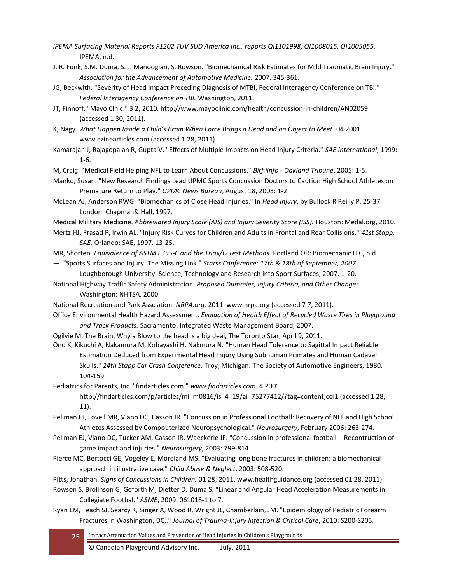- *IPEMA Surfacing Material Reports F1202 TUV SUD America Inc., reports QI1101998, QI1008015, QI1005055.* IPEMA, n.d.
- J. R. Funk, S.M. Duma, S. J. Manoogian, S. Rowson. "Biomechanical Risk Estimates for Mild Traumatic Brain Injury." *Association for the Advancement of Automotive Medicine.* 2007. 345-361.
- JG, Beckwith. "Severity of Head Impact Preceding Diagnosis of MTBI, Federal Interagency Conference on TBI." *Federal Interagency Conference on TBI.* Washington, 2011.
- JT, Finnoff. "Mayo Clnic." 3 2, 2010. http://www.mayoclinic.com/health/concussion-in-children/AN02059 (accessed 1 30, 2011).
- K, Nagy. *What Happen Inside a Child's Brain When Force Brings a Head and an Object to Meet.* 04 2001. www.ezinearticles.com (accessed 1 28, 2011).
- Kamarajan J, Rajagopalan R, Gupta V. "Effects of Multiple Impacts on Head Injury Criteria." *SAE International*, 1999: 1-6.
- M, Craig. "Medical Field Helping NFL to Learn About Concussions." *Birf.iinfo - Oakland Tribune*, 2005: 1-5.
- Manko, Susan. "New Research Findings Lead UPMC Sports Concussion Doctors to Caution High School Athletes on Premature Return to Play." *UPMC News Bureau*, August 18, 2003: 1-2.
- McLean AJ, Anderson RWG. "Biomechanics of Close Head Injuries." In *Head Injury*, by Bullock R Reilly P, 25-37. London: Chapman& Hall, 1997.
- Medical Military Medicine. *Abbreviated Injury Scale (AIS) and Injury Severity Score (ISS).* Houston: Medal.org, 2010.
- Mertz HJ, Prasad P, Irwin AL. "Injury Risk Curves for Children and Adults in Frontal and Rear Collisions." *41st Stapp, SAE.* Orlando: SAE, 1997. 13-25.
- MR, Shorten. *Equivalence of ASTM F355-C and the Triax/G Test Methods.* Portland OR: Biomechanic LLC, n.d.
- —. "Sports Surfaces and Injury: The Missing Link." *Starss Conference: 17th & 18th of September, 2007.* Loughborough University: Science, Technology and Research into Sport Surfaces, 2007. 1-20.
- National Highway Traffic Safety Administration. *Proposed Dummies, Injury Criteria, and Other Changes.* Washington: NHTSA, 2000.
- National Recreation and Park Assciation. *NRPA.org.* 2011. www.nrpa.org (accessed 7 7, 2011).
- Office Environmental Health Hazard Assessment. *Evaluation of Health Effect of Recycled Waste Tires in Playground and Track Products.* Sacramento: Integrated Waste Management Board, 2007.
- Ogilvie M, The Brain, Why a Blow to the head is a big deal, The Toronto Star, April 9, 2011.
- Ono K, Kikuchi A, Nakamura M, Kobayashi H, Nakmura N. "Human Head Tolerance to Sagittal Impact Reliable Estimation Deduced from Experimental Head Inijury Using Subhuman Primates and Human Cadaver Skulls." *24th Stapp Car Crash Conference.* Troy, Michigan: The Society of Automotive Engineers, 1980. 104-159.
- Pediatrics for Parents, Inc. "findarticles.com." *www.findarticles.com.* 4 2001. http://findarticles.com/p/articles/mi\_m0816/is\_4\_19/ai\_75277412/?tag=content;col1 (accessed 1 28, 11).
- Pellman EJ, Lovell MR, Viano DC, Casson IR. "Concussion in Professional Football: Recovery of NFL and High School Athletes Assessed by Compouterized Neuropsychological." *Neurosurgery*, February 2006: 263-274.
- Pellman EJ, Viano DC, Tucker AM, Casson IR, Waeckerle JF. "Concussion in professional football Recontruction of game impact and injuries." *Neurosurgery*, 2003: 799-814.
- Pierce MC, Bertocci GE, Vogeley E, Moreland MS. "Evaluating long bone fractures in children: a biomechanical approach in illustrative case." *Child Abuse & Neglect*, 2003: 508-520.
- Pitts, Jonathan. *Signs of Concussions in Children.* 01 28, 2011. www.healthguidance.org (accessed 01 28, 2011).
- Rowson S, Brolinson G, Goforth M, Dietter D, Duma S. "Linear and Angular Head Acceleration Measurements in Collegiate Footbal." *ASME*, 2009: 061016-1 to 7.
- Ryan LM, Teach SJ, Searcy K, Singer A, Wood R, Wright JL, Chamberlain, JM. "Epidemiology of Pediatric Forearm Fractures in Washington, DC,." *Journal of Trauma-Injury Infection & Critical Care*, 2010: S200-S205.
	- 25 Impact Attenuation Values and Prevention of Head Injuries in Children's Playgrounds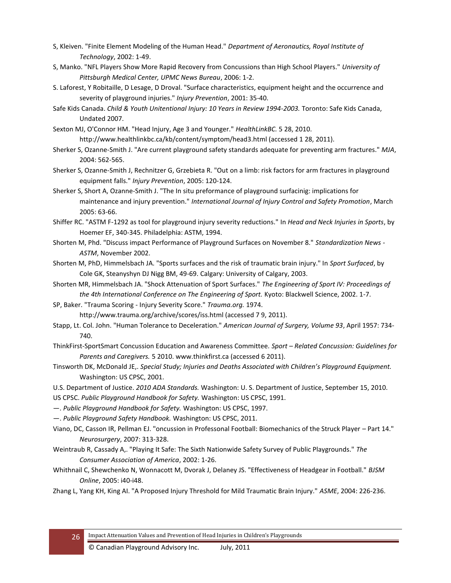- S, Kleiven. "Finite Element Modeling of the Human Head." *Department of Aeronautics, Royal Institute of Technology*, 2002: 1-49.
- S, Manko. "NFL Players Show More Rapid Recovery from Concussions than High School Players." *University of Pittsburgh Medical Center, UPMC News Bureau*, 2006: 1-2.
- S. Laforest, Y Robitaille, D Lesage, D Droval. "Surface characteristics, equipment height and the occurrence and severity of playground injuries." *Injury Prevention*, 2001: 35-40.
- Safe Kids Canada. *Child & Youth Unitentional Injury: 10 Years in Review 1994-2003.* Toronto: Safe Kids Canada, Undated 2007.
- Sexton MJ, O'Connor HM. "Head Injury, Age 3 and Younger." *HealthLinkBC.* 5 28, 2010. http://www.healthlinkbc.ca/kb/content/symptom/head3.html (accessed 1 28, 2011).
- Sherker S, Ozanne-Smith J. "Are current playground safety standards adequate for preventing arm fractures." *MJA*, 2004: 562-565.
- Sherker S, Ozanne-Smith J, Rechnitzer G, Grzebieta R. "Out on a limb: risk factors for arm fractures in playground equipment falls." *Injury Prevention*, 2005: 120-124.
- Sherker S, Short A, Ozanne-Smith J. "The In situ preformance of playground surfacinig: implications for maintenance and injury prevention." *International Journal of Injury Control and Safety Promotion*, March 2005: 63-66.
- Shiffer RC. "ASTM F-1292 as tool for playground injury severity reductions." In *Head and Neck Injuries in Sports*, by Hoemer EF, 340-345. Philadelphia: ASTM, 1994.
- Shorten M, Phd. "Discuss impact Performance of Playground Surfaces on November 8." *Standardization News - ASTM*, November 2002.
- Shorten M, PhD, Himmelsbach JA. "Sports surfaces and the risk of traumatic brain injury." In *Sport Surfaced*, by Cole GK, Steanyshyn DJ Nigg BM, 49-69. Calgary: University of Calgary, 2003.
- Shorten MR, Himmelsbach JA. "Shock Attenuation of Sport Surfaces." *The Engineering of Sport IV: Proceedings of the 4th International Conference on The Engineering of Sport.* Kyoto: Blackwell Science, 2002. 1-7.

SP, Baker. "Trauma Scoring - Injury Severity Score." *Trauma.org.* 1974. http://www.trauma.org/archive/scores/iss.html (accessed 7 9, 2011).

- Stapp, Lt. Col. John. "Human Tolerance to Deceleration." *American Journal of Surgery, Volume 93*, April 1957: 734- 740.
- ThinkFirst-SportSmart Concussion Education and Awareness Committee. *Sport – Related Concussion: Guidelines for Parents and Caregivers.* 5 2010. www.thinkfirst.ca (accessed 6 2011).
- Tinsworth DK, McDonald JE,. *Special Study; Injuries and Deaths Associated with Children's Playground Equipment.* Washington: US CPSC, 2001.
- U.S. Department of Justice. *2010 ADA Standards.* Washington: U. S. Department of Justice, September 15, 2010. US CPSC. *Public Playground Handbook for Safety.* Washington: US CPSC, 1991.
- —. *Public Playground Handbook for Safety.* Washington: US CPSC, 1997.
- —. *Public Playground Safety Handbook.* Washington: US CPSC, 2011.
- Viano, DC, Casson IR, Pellman EJ. "oncussion in Professonal Football: Biomechanics of the Struck Player Part 14." *Neurosurgery*, 2007: 313-328.
- Weintraub R, Cassady A,. "Playing It Safe: The Sixth Nationwide Safety Survey of Public Playgrounds." *The Consumer Association of America*, 2002: 1-26.
- Whithnail C, Shewchenko N, Wonnacott M, Dvorak J, Delaney JS. "Effectiveness of Headgear in Football." *BJSM Online*, 2005: i40-i48.
- Zhang L, Yang KH, King AI. "A Proposed Injury Threshold for Mild Traumatic Brain Injury." *ASME*, 2004: 226-236.

26 Impact Attenuation Values and Prevention of Head Injuries in Children's Playgrounds